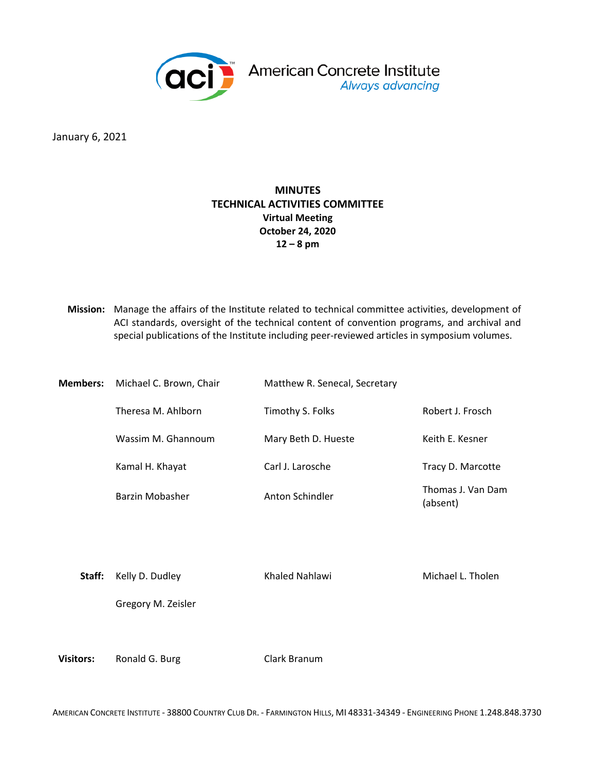

January 6, 2021

## **MINUTES TECHNICAL ACTIVITIES COMMITTEE Virtual Meeting October 24, 2020 12 – 8 pm**

**Mission:** Manage the affairs of the Institute related to technical committee activities, development of ACI standards, oversight of the technical content of convention programs, and archival and special publications of the Institute including peer-reviewed articles in symposium volumes.

| Members: | Michael C. Brown, Chair | Matthew R. Senecal, Secretary |                               |  |  |  |  |  |  |
|----------|-------------------------|-------------------------------|-------------------------------|--|--|--|--|--|--|
|          | Theresa M. Ahlborn      | Timothy S. Folks              | Robert J. Frosch              |  |  |  |  |  |  |
|          | Wassim M. Ghannoum      | Mary Beth D. Hueste           | Keith E. Kesner               |  |  |  |  |  |  |
|          | Kamal H. Khayat         | Carl J. Larosche              | Tracy D. Marcotte             |  |  |  |  |  |  |
|          | Barzin Mobasher         | Anton Schindler               | Thomas J. Van Dam<br>(absent) |  |  |  |  |  |  |

**Staff:** Kelly D. Dudley Khaled Nahlawi Michael L. Tholen

Gregory M. Zeisler

**Visitors:** Ronald G. Burg Clark Branum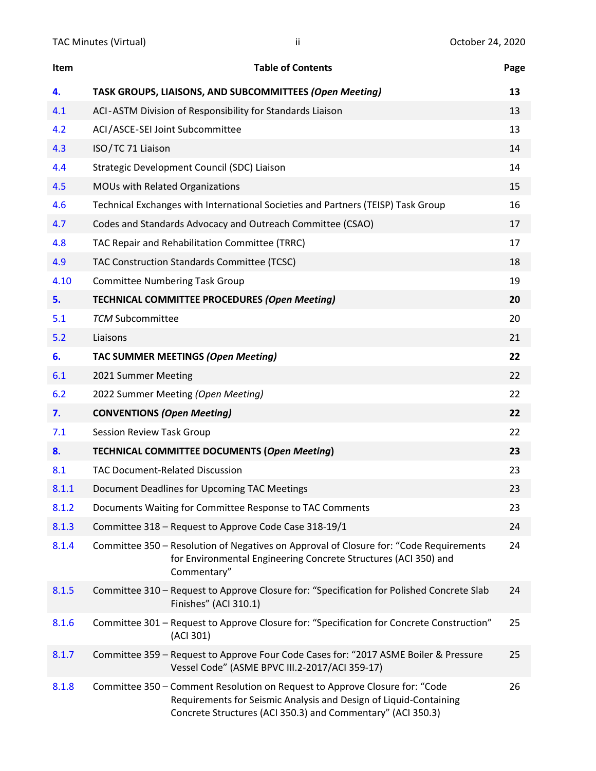| Item  | <b>Table of Contents</b>                                                                                                                                                                                        | Page |
|-------|-----------------------------------------------------------------------------------------------------------------------------------------------------------------------------------------------------------------|------|
| 4.    | TASK GROUPS, LIAISONS, AND SUBCOMMITTEES (Open Meeting)                                                                                                                                                         | 13   |
| 4.1   | ACI-ASTM Division of Responsibility for Standards Liaison                                                                                                                                                       | 13   |
| 4.2   | ACI/ASCE-SEI Joint Subcommittee                                                                                                                                                                                 | 13   |
| 4.3   | ISO/TC 71 Liaison                                                                                                                                                                                               | 14   |
| 4.4   | Strategic Development Council (SDC) Liaison                                                                                                                                                                     | 14   |
| 4.5   | MOUs with Related Organizations                                                                                                                                                                                 | 15   |
| 4.6   | Technical Exchanges with International Societies and Partners (TEISP) Task Group                                                                                                                                | 16   |
| 4.7   | Codes and Standards Advocacy and Outreach Committee (CSAO)                                                                                                                                                      | 17   |
| 4.8   | TAC Repair and Rehabilitation Committee (TRRC)                                                                                                                                                                  | 17   |
| 4.9   | TAC Construction Standards Committee (TCSC)                                                                                                                                                                     | 18   |
| 4.10  | <b>Committee Numbering Task Group</b>                                                                                                                                                                           | 19   |
| 5.    | <b>TECHNICAL COMMITTEE PROCEDURES (Open Meeting)</b>                                                                                                                                                            | 20   |
| 5.1   | <b>TCM Subcommittee</b>                                                                                                                                                                                         | 20   |
| 5.2   | Liaisons                                                                                                                                                                                                        | 21   |
| 6.    | <b>TAC SUMMER MEETINGS (Open Meeting)</b>                                                                                                                                                                       | 22   |
| 6.1   | 2021 Summer Meeting                                                                                                                                                                                             | 22   |
| 6.2   | 2022 Summer Meeting (Open Meeting)                                                                                                                                                                              | 22   |
| 7.    | <b>CONVENTIONS (Open Meeting)</b>                                                                                                                                                                               | 22   |
| 7.1   | Session Review Task Group                                                                                                                                                                                       | 22   |
| 8.    | <b>TECHNICAL COMMITTEE DOCUMENTS (Open Meeting)</b>                                                                                                                                                             | 23   |
| 8.1   | <b>TAC Document-Related Discussion</b>                                                                                                                                                                          | 23   |
| 8.1.1 | Document Deadlines for Upcoming TAC Meetings                                                                                                                                                                    | 23   |
| 8.1.2 | Documents Waiting for Committee Response to TAC Comments                                                                                                                                                        | 23   |
| 8.1.3 | Committee 318 - Request to Approve Code Case 318-19/1                                                                                                                                                           | 24   |
| 8.1.4 | Committee 350 – Resolution of Negatives on Approval of Closure for: "Code Requirements<br>for Environmental Engineering Concrete Structures (ACI 350) and<br>Commentary"                                        | 24   |
| 8.1.5 | Committee 310 - Request to Approve Closure for: "Specification for Polished Concrete Slab<br>Finishes" (ACI 310.1)                                                                                              | 24   |
| 8.1.6 | Committee 301 - Request to Approve Closure for: "Specification for Concrete Construction"<br>(ACI 301)                                                                                                          | 25   |
| 8.1.7 | Committee 359 - Request to Approve Four Code Cases for: "2017 ASME Boiler & Pressure<br>Vessel Code" (ASME BPVC III.2-2017/ACI 359-17)                                                                          | 25   |
| 8.1.8 | Committee 350 - Comment Resolution on Request to Approve Closure for: "Code<br>Requirements for Seismic Analysis and Design of Liquid-Containing<br>Concrete Structures (ACI 350.3) and Commentary" (ACI 350.3) | 26   |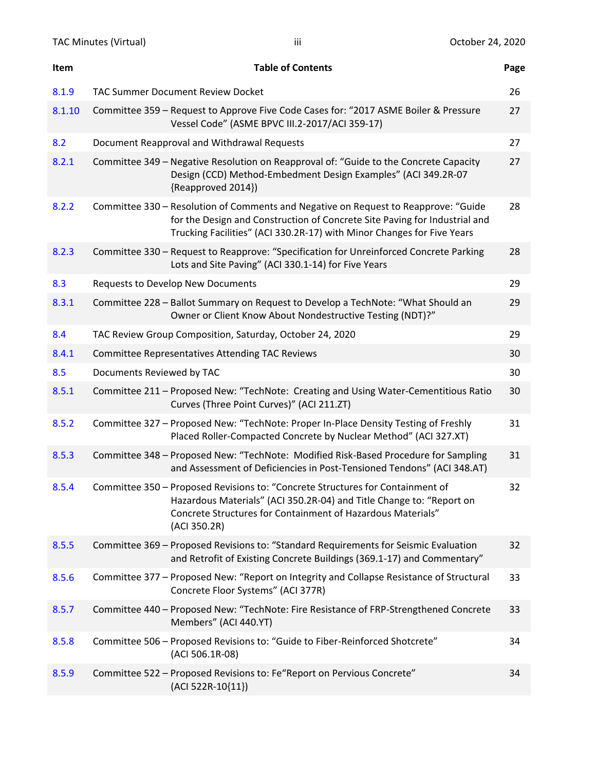| Item   | <b>Table of Contents</b>                                                                                                                                                                                                                    | Page |
|--------|---------------------------------------------------------------------------------------------------------------------------------------------------------------------------------------------------------------------------------------------|------|
| 8.1.9  | <b>TAC Summer Document Review Docket</b>                                                                                                                                                                                                    | 26   |
| 8.1.10 | Committee 359 - Request to Approve Five Code Cases for: "2017 ASME Boiler & Pressure<br>Vessel Code" (ASME BPVC III.2-2017/ACI 359-17)                                                                                                      | 27   |
| 8.2    | Document Reapproval and Withdrawal Requests                                                                                                                                                                                                 | 27   |
| 8.2.1  | Committee 349 - Negative Resolution on Reapproval of: "Guide to the Concrete Capacity<br>Design (CCD) Method-Embedment Design Examples" (ACI 349.2R-07<br>{Reapproved 2014})                                                                | 27   |
| 8.2.2  | Committee 330 - Resolution of Comments and Negative on Request to Reapprove: "Guide<br>for the Design and Construction of Concrete Site Paving for Industrial and<br>Trucking Facilities" (ACI 330.2R-17) with Minor Changes for Five Years | 28   |
| 8.2.3  | Committee 330 - Request to Reapprove: "Specification for Unreinforced Concrete Parking<br>Lots and Site Paving" (ACI 330.1-14) for Five Years                                                                                               | 28   |
| 8.3    | Requests to Develop New Documents                                                                                                                                                                                                           | 29   |
| 8.3.1  | Committee 228 - Ballot Summary on Request to Develop a TechNote: "What Should an<br>Owner or Client Know About Nondestructive Testing (NDT)?"                                                                                               | 29   |
| 8.4    | TAC Review Group Composition, Saturday, October 24, 2020                                                                                                                                                                                    | 29   |
| 8.4.1  | <b>Committee Representatives Attending TAC Reviews</b>                                                                                                                                                                                      | 30   |
| 8.5    | Documents Reviewed by TAC                                                                                                                                                                                                                   | 30   |
| 8.5.1  | Committee 211 - Proposed New: "TechNote: Creating and Using Water-Cementitious Ratio<br>Curves (Three Point Curves)" (ACI 211.ZT)                                                                                                           | 30   |
| 8.5.2  | Committee 327 - Proposed New: "TechNote: Proper In-Place Density Testing of Freshly<br>Placed Roller-Compacted Concrete by Nuclear Method" (ACI 327.XT)                                                                                     | 31   |
| 8.5.3  | Committee 348 - Proposed New: "TechNote: Modified Risk-Based Procedure for Sampling<br>and Assessment of Deficiencies in Post-Tensioned Tendons" (ACI 348.AT)                                                                               | 31   |
| 8.5.4  | Committee 350 - Proposed Revisions to: "Concrete Structures for Containment of<br>Hazardous Materials" (ACI 350.2R-04) and Title Change to: "Report on<br>Concrete Structures for Containment of Hazardous Materials"<br>(ACI 350.2R)       | 32   |
| 8.5.5  | Committee 369 - Proposed Revisions to: "Standard Requirements for Seismic Evaluation<br>and Retrofit of Existing Concrete Buildings (369.1-17) and Commentary"                                                                              | 32   |
| 8.5.6  | Committee 377 - Proposed New: "Report on Integrity and Collapse Resistance of Structural<br>Concrete Floor Systems" (ACI 377R)                                                                                                              | 33   |
| 8.5.7  | Committee 440 - Proposed New: "TechNote: Fire Resistance of FRP-Strengthened Concrete<br>Members" (ACI 440.YT)                                                                                                                              | 33   |
| 8.5.8  | Committee 506 - Proposed Revisions to: "Guide to Fiber-Reinforced Shotcrete"<br>(ACI 506.1R-08)                                                                                                                                             | 34   |
| 8.5.9  | Committee 522 - Proposed Revisions to: Fe"Report on Pervious Concrete"<br>(ACI 522R-10{11})                                                                                                                                                 | 34   |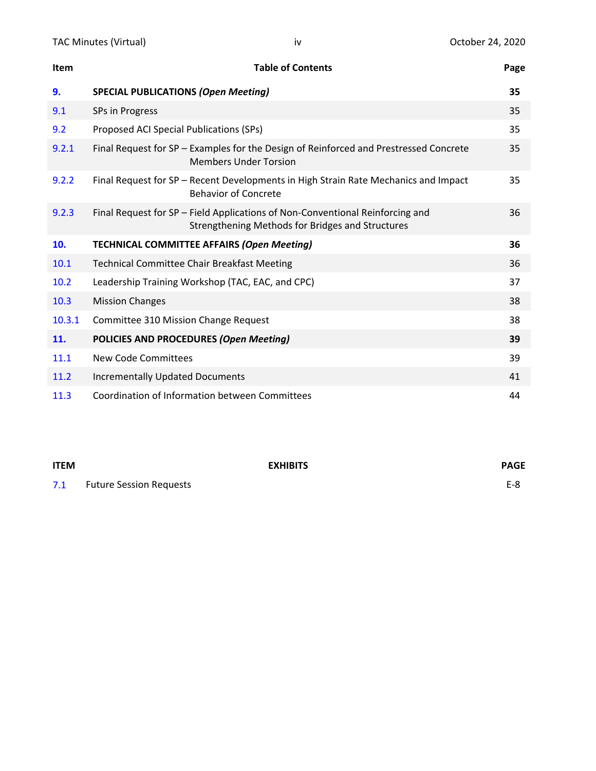| Item   | <b>Table of Contents</b>                                                                                                          | Page |
|--------|-----------------------------------------------------------------------------------------------------------------------------------|------|
| 9.     | <b>SPECIAL PUBLICATIONS (Open Meeting)</b>                                                                                        | 35   |
| 9.1    | SPs in Progress                                                                                                                   | 35   |
| 9.2    | Proposed ACI Special Publications (SPs)                                                                                           | 35   |
| 9.2.1  | Final Request for SP - Examples for the Design of Reinforced and Prestressed Concrete<br><b>Members Under Torsion</b>             | 35   |
| 9.2.2  | Final Request for SP - Recent Developments in High Strain Rate Mechanics and Impact<br><b>Behavior of Concrete</b>                | 35   |
| 9.2.3  | Final Request for SP - Field Applications of Non-Conventional Reinforcing and<br>Strengthening Methods for Bridges and Structures | 36   |
| 10.    | <b>TECHNICAL COMMITTEE AFFAIRS (Open Meeting)</b>                                                                                 | 36   |
| 10.1   | <b>Technical Committee Chair Breakfast Meeting</b>                                                                                | 36   |
| 10.2   | Leadership Training Workshop (TAC, EAC, and CPC)                                                                                  | 37   |
| 10.3   | <b>Mission Changes</b>                                                                                                            | 38   |
| 10.3.1 | Committee 310 Mission Change Request                                                                                              | 38   |
| 11.    | POLICIES AND PROCEDURES (Open Meeting)                                                                                            | 39   |
| 11.1   | New Code Committees                                                                                                               | 39   |
| 11.2   | <b>Incrementally Updated Documents</b>                                                                                            | 41   |
| 11.3   | Coordination of Information between Committees                                                                                    | 44   |

**ITEM EXHIBITS PAGE** 7.1 Future Session Requests **E-8**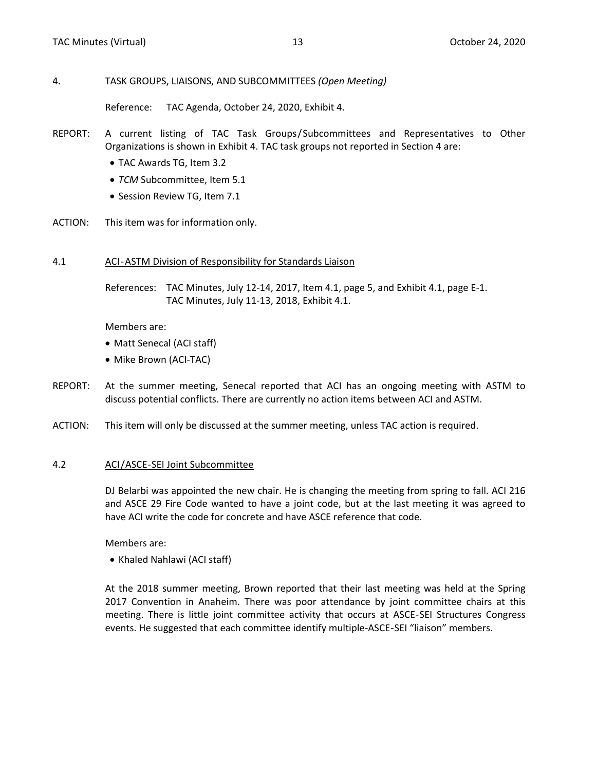#### <span id="page-4-0"></span>4. TASK GROUPS, LIAISONS, AND SUBCOMMITTEES *(Open Meeting)*

Reference: TAC Agenda, October 24, 2020, Exhibit 4.

- REPORT: A current listing of TAC Task Groups/Subcommittees and Representatives to Other Organizations is shown in Exhibit 4. TAC task groups not reported in Section 4 are:
	- TAC Awards TG, Item 3.2
	- *TCM* Subcommittee, Item 5.1
	- Session Review TG, Item 7.1
- ACTION: This item was for information only.

#### 4.1 ACI-ASTM Division of Responsibility for Standards Liaison

References: TAC Minutes, July 12-14, 2017, Item 4.1, page 5, and Exhibit 4.1, page E-1. TAC Minutes, July 11-13, 2018, Exhibit 4.1.

Members are:

- Matt Senecal (ACI staff)
- Mike Brown (ACI-TAC)
- REPORT: At the summer meeting, Senecal reported that ACI has an ongoing meeting with ASTM to discuss potential conflicts. There are currently no action items between ACI and ASTM.
- ACTION: This item will only be discussed at the summer meeting, unless TAC action is required.

#### 4.2 ACI/ASCE-SEI Joint Subcommittee

DJ Belarbi was appointed the new chair. He is changing the meeting from spring to fall. ACI 216 and ASCE 29 Fire Code wanted to have a joint code, but at the last meeting it was agreed to have ACI write the code for concrete and have ASCE reference that code.

Members are:

• Khaled Nahlawi (ACI staff)

At the 2018 summer meeting, Brown reported that their last meeting was held at the Spring 2017 Convention in Anaheim. There was poor attendance by joint committee chairs at this meeting. There is little joint committee activity that occurs at ASCE-SEI Structures Congress events. He suggested that each committee identify multiple-ASCE-SEI "liaison" members.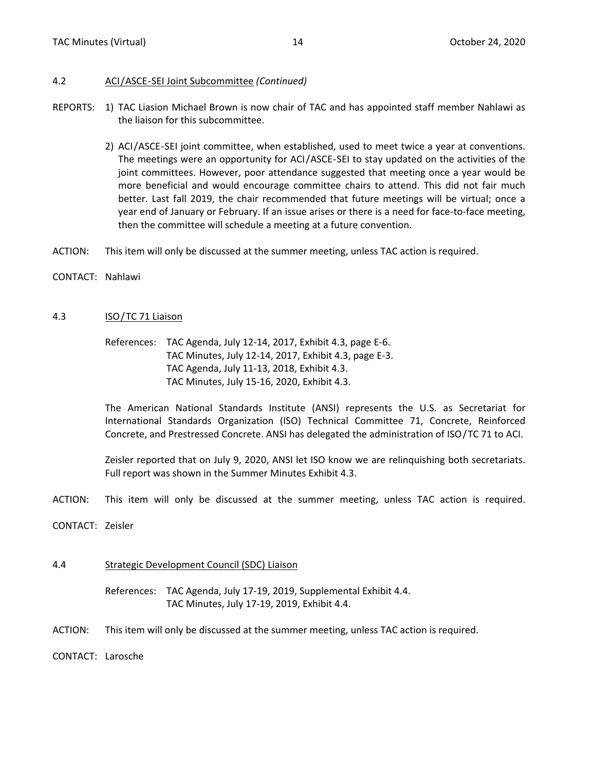## <span id="page-5-0"></span>4.2 ACI/ASCE-SEI Joint Subcommittee *(Continued)*

- REPORTS: 1) TAC Liasion Michael Brown is now chair of TAC and has appointed staff member Nahlawi as the liaison for this subcommittee.
	- 2) ACI/ASCE-SEI joint committee, when established, used to meet twice a year at conventions. The meetings were an opportunity for ACI/ASCE-SEI to stay updated on the activities of the joint committees. However, poor attendance suggested that meeting once a year would be more beneficial and would encourage committee chairs to attend. This did not fair much better. Last fall 2019, the chair recommended that future meetings will be virtual; once a year end of January or February. If an issue arises or there is a need for face-to-face meeting, then the committee will schedule a meeting at a future convention.
- ACTION: This item will only be discussed at the summer meeting, unless TAC action is required.
- CONTACT: Nahlawi

# 4.3 ISO/TC 71 Liaison

References: TAC Agenda, July 12-14, 2017, Exhibit 4.3, page E-6. TAC Minutes, July 12-14, 2017, Exhibit 4.3, page E-3. TAC Agenda, July 11-13, 2018, Exhibit 4.3. TAC Minutes, July 15-16, 2020, Exhibit 4.3.

The American National Standards Institute (ANSI) represents the U.S. as Secretariat for International Standards Organization (ISO) Technical Committee 71, Concrete, Reinforced Concrete, and Prestressed Concrete. ANSI has delegated the administration of ISO/TC 71 to ACI.

Zeisler reported that on July 9, 2020, ANSI let ISO know we are relinquishing both secretariats. Full report was shown in the Summer Minutes Exhibit 4.3.

- ACTION: This item will only be discussed at the summer meeting, unless TAC action is required.
- CONTACT: Zeisler

# 4.4 Strategic Development Council (SDC) Liaison

References: TAC Agenda, July 17-19, 2019, Supplemental Exhibit 4.4. TAC Minutes, July 17-19, 2019, Exhibit 4.4.

ACTION: This item will only be discussed at the summer meeting, unless TAC action is required.

CONTACT: Larosche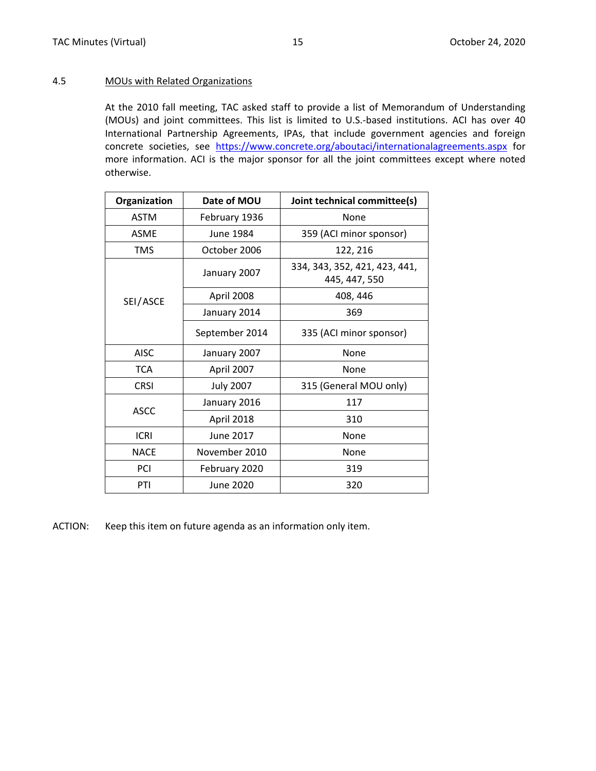#### <span id="page-6-0"></span>4.5 MOUs with Related Organizations

At the 2010 fall meeting, TAC asked staff to provide a list of Memorandum of Understanding (MOUs) and joint committees. This list is limited to U.S.-based institutions. ACI has over 40 International Partnership Agreements, IPAs, that include government agencies and foreign concrete societies, see <https://www.concrete.org/aboutaci/internationalagreements.aspx> for more information. ACI is the major sponsor for all the joint committees except where noted otherwise.

| Organization | Date of MOU      | Joint technical committee(s)                   |  |  |  |  |  |  |  |
|--------------|------------------|------------------------------------------------|--|--|--|--|--|--|--|
| <b>ASTM</b>  | February 1936    | None                                           |  |  |  |  |  |  |  |
| <b>ASME</b>  | June 1984        | 359 (ACI minor sponsor)                        |  |  |  |  |  |  |  |
| <b>TMS</b>   | October 2006     | 122, 216                                       |  |  |  |  |  |  |  |
|              | January 2007     | 334, 343, 352, 421, 423, 441,<br>445, 447, 550 |  |  |  |  |  |  |  |
| SEI/ASCE     | April 2008       | 408, 446                                       |  |  |  |  |  |  |  |
|              | January 2014     | 369                                            |  |  |  |  |  |  |  |
|              | September 2014   | 335 (ACI minor sponsor)                        |  |  |  |  |  |  |  |
| <b>AISC</b>  | January 2007     | None                                           |  |  |  |  |  |  |  |
| <b>TCA</b>   | April 2007       | None                                           |  |  |  |  |  |  |  |
| <b>CRSI</b>  | <b>July 2007</b> | 315 (General MOU only)                         |  |  |  |  |  |  |  |
|              | January 2016     | 117                                            |  |  |  |  |  |  |  |
| <b>ASCC</b>  | April 2018       | 310                                            |  |  |  |  |  |  |  |
| <b>ICRI</b>  | June 2017        | None                                           |  |  |  |  |  |  |  |
| <b>NACE</b>  | November 2010    | None                                           |  |  |  |  |  |  |  |
| PCI          | February 2020    | 319                                            |  |  |  |  |  |  |  |
| PTI          | June 2020        | 320                                            |  |  |  |  |  |  |  |

ACTION: Keep this item on future agenda as an information only item.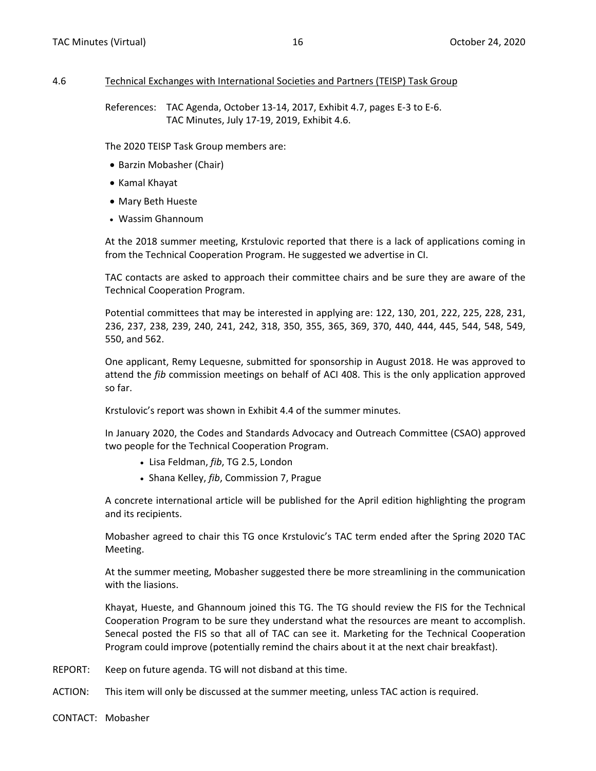### <span id="page-7-0"></span>4.6 Technical Exchanges with International Societies and Partners (TEISP) Task Group

References: TAC Agenda, October 13-14, 2017, Exhibit 4.7, pages E-3 to E-6. TAC Minutes, July 17-19, 2019, Exhibit 4.6.

The 2020 TEISP Task Group members are:

- Barzin Mobasher (Chair)
- Kamal Khayat
- Mary Beth Hueste
- Wassim Ghannoum

At the 2018 summer meeting, Krstulovic reported that there is a lack of applications coming in from the Technical Cooperation Program. He suggested we advertise in CI.

TAC contacts are asked to approach their committee chairs and be sure they are aware of the Technical Cooperation Program.

Potential committees that may be interested in applying are: 122, 130, 201, 222, 225, 228, 231, 236, 237, 238, 239, 240, 241, 242, 318, 350, 355, 365, 369, 370, 440, 444, 445, 544, 548, 549, 550, and 562.

One applicant, Remy Lequesne, submitted for sponsorship in August 2018. He was approved to attend the *fib* commission meetings on behalf of ACI 408. This is the only application approved so far.

Krstulovic's report was shown in Exhibit 4.4 of the summer minutes.

In January 2020, the Codes and Standards Advocacy and Outreach Committee (CSAO) approved two people for the Technical Cooperation Program.

- Lisa Feldman, *fib*, TG 2.5, London
- Shana Kelley, *fib*, Commission 7, Prague

A concrete international article will be published for the April edition highlighting the program and its recipients.

Mobasher agreed to chair this TG once Krstulovic's TAC term ended after the Spring 2020 TAC Meeting.

At the summer meeting, Mobasher suggested there be more streamlining in the communication with the liasions.

Khayat, Hueste, and Ghannoum joined this TG. The TG should review the FIS for the Technical Cooperation Program to be sure they understand what the resources are meant to accomplish. Senecal posted the FIS so that all of TAC can see it. Marketing for the Technical Cooperation Program could improve (potentially remind the chairs about it at the next chair breakfast).

- REPORT: Keep on future agenda. TG will not disband at this time.
- ACTION: This item will only be discussed at the summer meeting, unless TAC action is required.
- CONTACT: Mobasher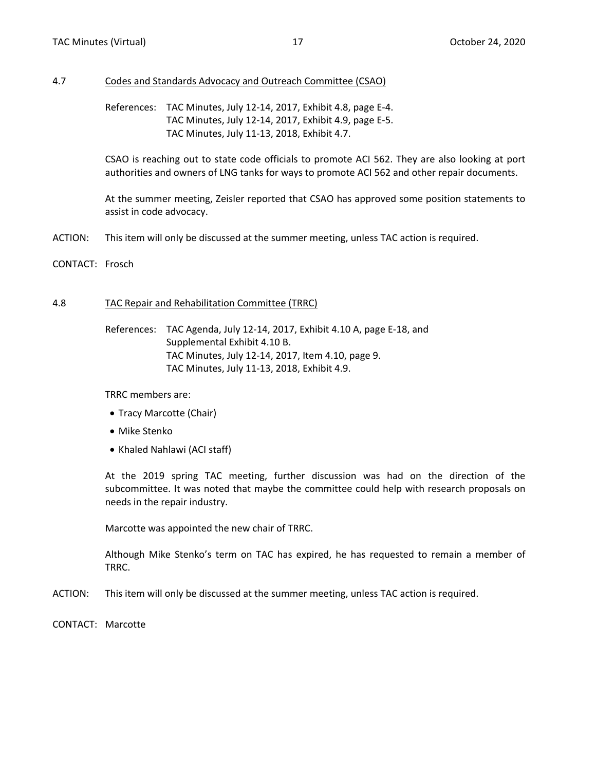#### <span id="page-8-0"></span>4.7 Codes and Standards Advocacy and Outreach Committee (CSAO)

References: TAC Minutes, July 12-14, 2017, Exhibit 4.8, page E-4. TAC Minutes, July 12-14, 2017, Exhibit 4.9, page E-5. TAC Minutes, July 11-13, 2018, Exhibit 4.7.

CSAO is reaching out to state code officials to promote ACI 562. They are also looking at port authorities and owners of LNG tanks for ways to promote ACI 562 and other repair documents.

At the summer meeting, Zeisler reported that CSAO has approved some position statements to assist in code advocacy.

- ACTION: This item will only be discussed at the summer meeting, unless TAC action is required.
- CONTACT: Frosch

#### 4.8 TAC Repair and Rehabilitation Committee (TRRC)

References: TAC Agenda, July 12-14, 2017, Exhibit 4.10 A, page E-18, and Supplemental Exhibit 4.10 B. TAC Minutes, July 12-14, 2017, Item 4.10, page 9. TAC Minutes, July 11-13, 2018, Exhibit 4.9.

TRRC members are:

- Tracy Marcotte (Chair)
- Mike Stenko
- Khaled Nahlawi (ACI staff)

At the 2019 spring TAC meeting, further discussion was had on the direction of the subcommittee. It was noted that maybe the committee could help with research proposals on needs in the repair industry.

Marcotte was appointed the new chair of TRRC.

Although Mike Stenko's term on TAC has expired, he has requested to remain a member of TRRC.

- ACTION: This item will only be discussed at the summer meeting, unless TAC action is required.
- CONTACT: Marcotte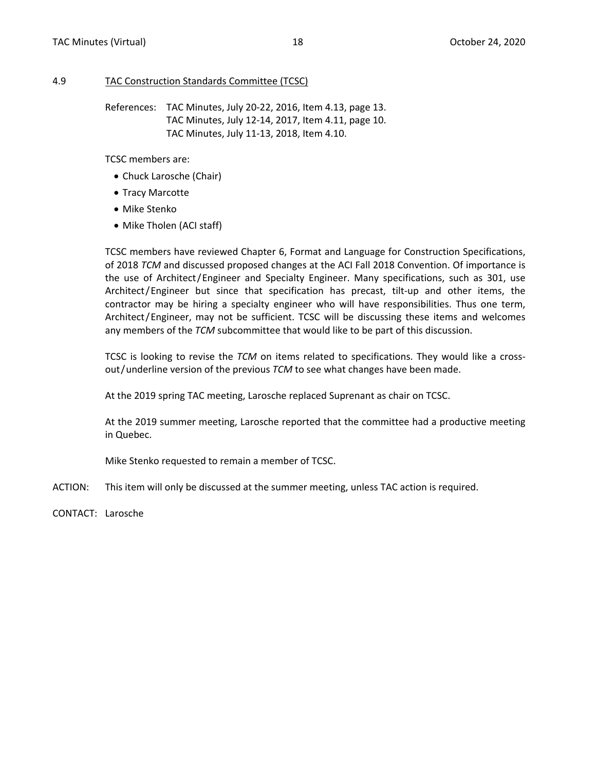#### <span id="page-9-0"></span>4.9 TAC Construction Standards Committee (TCSC)

References: TAC Minutes, July 20-22, 2016, Item 4.13, page 13. TAC Minutes, July 12-14, 2017, Item 4.11, page 10. TAC Minutes, July 11-13, 2018, Item 4.10.

TCSC members are:

- Chuck Larosche (Chair)
- Tracy Marcotte
- Mike Stenko
- Mike Tholen (ACI staff)

TCSC members have reviewed Chapter 6, Format and Language for Construction Specifications, of 2018 *TCM* and discussed proposed changes at the ACI Fall 2018 Convention. Of importance is the use of Architect/Engineer and Specialty Engineer. Many specifications, such as 301, use Architect/Engineer but since that specification has precast, tilt-up and other items, the contractor may be hiring a specialty engineer who will have responsibilities. Thus one term, Architect/Engineer, may not be sufficient. TCSC will be discussing these items and welcomes any members of the *TCM* subcommittee that would like to be part of this discussion.

TCSC is looking to revise the *TCM* on items related to specifications. They would like a crossout/underline version of the previous *TCM* to see what changes have been made.

At the 2019 spring TAC meeting, Larosche replaced Suprenant as chair on TCSC.

At the 2019 summer meeting, Larosche reported that the committee had a productive meeting in Quebec.

Mike Stenko requested to remain a member of TCSC.

- ACTION: This item will only be discussed at the summer meeting, unless TAC action is required.
- CONTACT: Larosche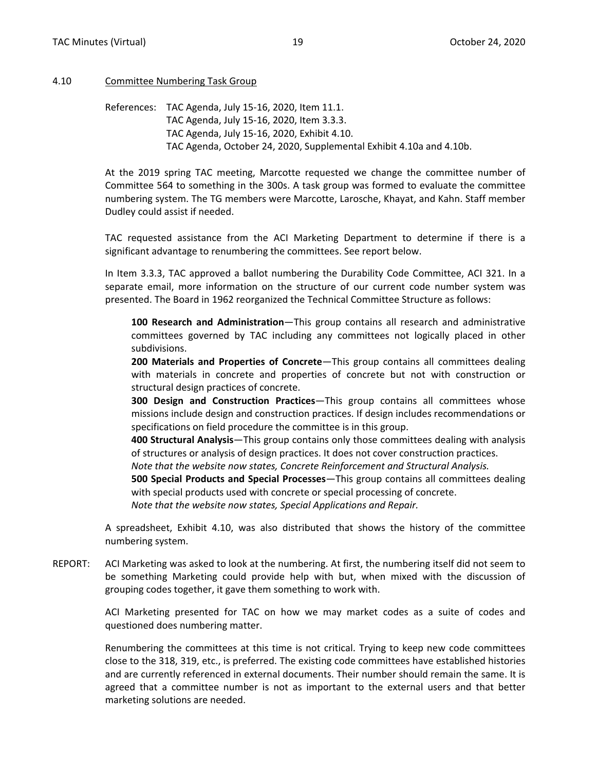#### <span id="page-10-0"></span>4.10 Committee Numbering Task Group

References: TAC Agenda, July 15-16, 2020, Item 11.1. TAC Agenda, July 15-16, 2020, Item 3.3.3. TAC Agenda, July 15-16, 2020, Exhibit 4.10. TAC Agenda, October 24, 2020, Supplemental Exhibit 4.10a and 4.10b.

At the 2019 spring TAC meeting, Marcotte requested we change the committee number of Committee 564 to something in the 300s. A task group was formed to evaluate the committee numbering system. The TG members were Marcotte, Larosche, Khayat, and Kahn. Staff member Dudley could assist if needed.

TAC requested assistance from the ACI Marketing Department to determine if there is a significant advantage to renumbering the committees. See report below.

In Item 3.3.3, TAC approved a ballot numbering the Durability Code Committee, ACI 321. In a separate email, more information on the structure of our current code number system was presented. The Board in 1962 reorganized the Technical Committee Structure as follows:

**100 Research and Administration**—This group contains all research and administrative committees governed by TAC including any committees not logically placed in other subdivisions.

**200 Materials and Properties of Concrete**—This group contains all committees dealing with materials in concrete and properties of concrete but not with construction or structural design practices of concrete.

**300 Design and Construction Practices**—This group contains all committees whose missions include design and construction practices. If design includes recommendations or specifications on field procedure the committee is in this group.

**400 Structural Analysis**—This group contains only those committees dealing with analysis of structures or analysis of design practices. It does not cover construction practices.

*Note that the website now states, Concrete Reinforcement and Structural Analysis.*

**500 Special Products and Special Processes**—This group contains all committees dealing with special products used with concrete or special processing of concrete.

*Note that the website now states, Special Applications and Repair.*

A spreadsheet, Exhibit 4.10, was also distributed that shows the history of the committee numbering system.

REPORT: ACI Marketing was asked to look at the numbering. At first, the numbering itself did not seem to be something Marketing could provide help with but, when mixed with the discussion of grouping codes together, it gave them something to work with.

> ACI Marketing presented for TAC on how we may market codes as a suite of codes and questioned does numbering matter.

> Renumbering the committees at this time is not critical. Trying to keep new code committees close to the 318, 319, etc., is preferred. The existing code committees have established histories and are currently referenced in external documents. Their number should remain the same. It is agreed that a committee number is not as important to the external users and that better marketing solutions are needed.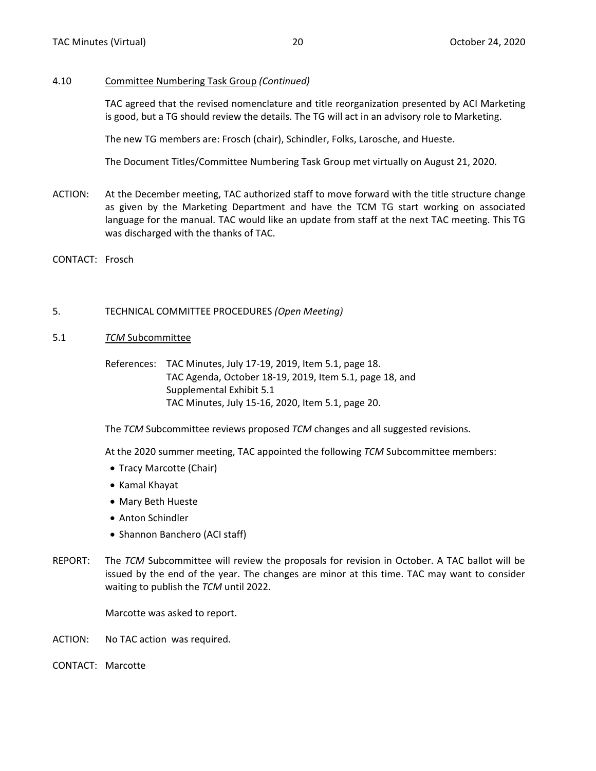#### <span id="page-11-0"></span>4.10 Committee Numbering Task Group *(Continued)*

TAC agreed that the revised nomenclature and title reorganization presented by ACI Marketing is good, but a TG should review the details. The TG will act in an advisory role to Marketing.

The new TG members are: Frosch (chair), Schindler, Folks, Larosche, and Hueste.

The Document Titles/Committee Numbering Task Group met virtually on August 21, 2020.

- ACTION: At the December meeting, TAC authorized staff to move forward with the title structure change as given by the Marketing Department and have the TCM TG start working on associated language for the manual. TAC would like an update from staff at the next TAC meeting. This TG was discharged with the thanks of TAC.
- CONTACT: Frosch

#### 5. TECHNICAL COMMITTEE PROCEDURES *(Open Meeting)*

- 5.1 *TCM* Subcommittee
	- References: TAC Minutes, July 17-19, 2019, Item 5.1, page 18. TAC Agenda, October 18-19, 2019, Item 5.1, page 18, and Supplemental Exhibit 5.1 TAC Minutes, July 15-16, 2020, Item 5.1, page 20.

The *TCM* Subcommittee reviews proposed *TCM* changes and all suggested revisions.

At the 2020 summer meeting, TAC appointed the following *TCM* Subcommittee members:

- Tracy Marcotte (Chair)
- Kamal Khayat
- Mary Beth Hueste
- Anton Schindler
- Shannon Banchero (ACI staff)
- REPORT: The *TCM* Subcommittee will review the proposals for revision in October. A TAC ballot will be issued by the end of the year. The changes are minor at this time. TAC may want to consider waiting to publish the *TCM* until 2022.

Marcotte was asked to report.

ACTION: No TAC action was required.

CONTACT: Marcotte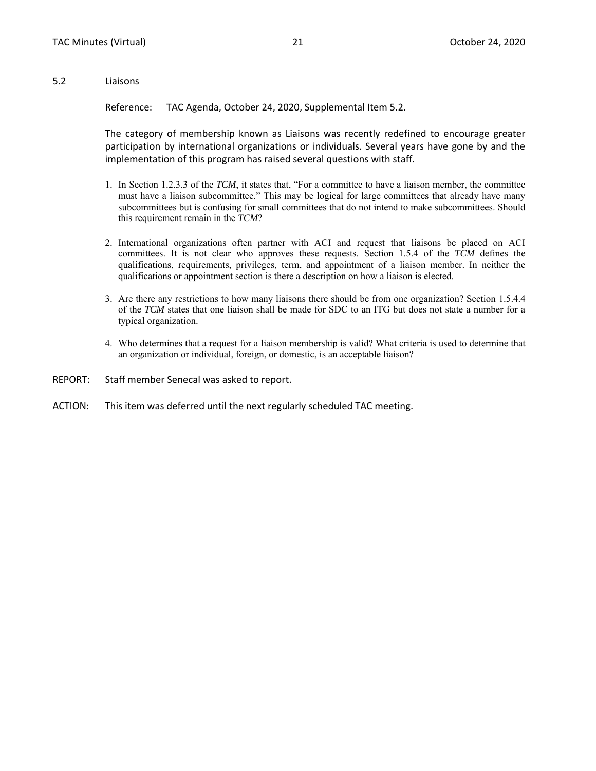#### <span id="page-12-0"></span>5.2 Liaisons

Reference: TAC Agenda, October 24, 2020, Supplemental Item 5.2.

The category of membership known as Liaisons was recently redefined to encourage greater participation by international organizations or individuals. Several years have gone by and the implementation of this program has raised several questions with staff.

- 1. In Section 1.2.3.3 of the *TCM*, it states that, "For a committee to have a liaison member, the committee must have a liaison subcommittee." This may be logical for large committees that already have many subcommittees but is confusing for small committees that do not intend to make subcommittees. Should this requirement remain in the *TCM*?
- 2. International organizations often partner with ACI and request that liaisons be placed on ACI committees. It is not clear who approves these requests. Section 1.5.4 of the *TCM* defines the qualifications, requirements, privileges, term, and appointment of a liaison member. In neither the qualifications or appointment section is there a description on how a liaison is elected.
- 3. Are there any restrictions to how many liaisons there should be from one organization? Section 1.5.4.4 of the *TCM* states that one liaison shall be made for SDC to an ITG but does not state a number for a typical organization.
- 4. Who determines that a request for a liaison membership is valid? What criteria is used to determine that an organization or individual, foreign, or domestic, is an acceptable liaison?
- REPORT: Staff member Senecal was asked to report.
- ACTION: This item was deferred until the next regularly scheduled TAC meeting.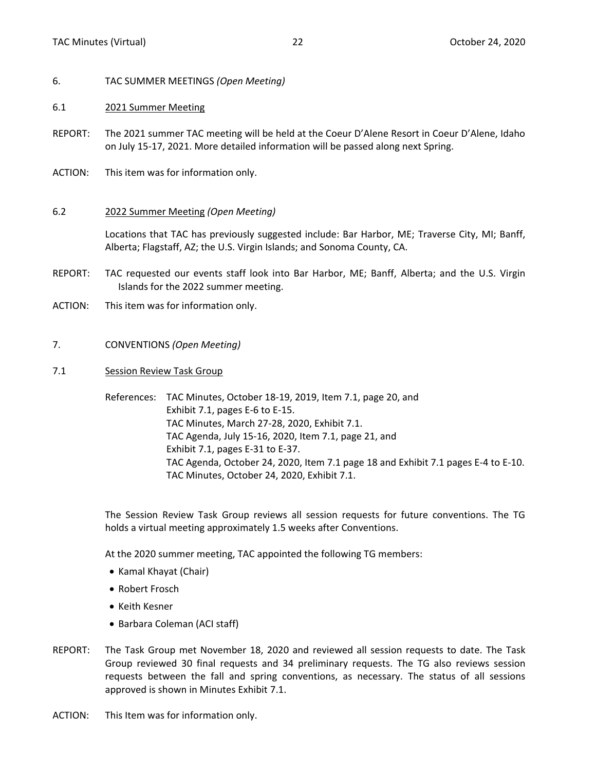- <span id="page-13-0"></span>6. TAC SUMMER MEETINGS *(Open Meeting)*
- 6.1 2021 Summer Meeting
- REPORT: The 2021 summer TAC meeting will be held at the Coeur D'Alene Resort in Coeur D'Alene, Idaho on July 15-17, 2021. More detailed information will be passed along next Spring.
- ACTION: This item was for information only.
- 6.2 2022 Summer Meeting *(Open Meeting)*

Locations that TAC has previously suggested include: Bar Harbor, ME; Traverse City, MI; Banff, Alberta; Flagstaff, AZ; the U.S. Virgin Islands; and Sonoma County, CA.

- REPORT: TAC requested our events staff look into Bar Harbor, ME; Banff, Alberta; and the U.S. Virgin Islands for the 2022 summer meeting.
- ACTION: This item was for information only.
- 7. CONVENTIONS *(Open Meeting)*
- 7.1 Session Review Task Group

References: TAC Minutes, October 18-19, 2019, Item 7.1, page 20, and Exhibit 7.1, pages E-6 to E-15. TAC Minutes, March 27-28, 2020, Exhibit 7.1. TAC Agenda, July 15-16, 2020, Item 7.1, page 21, and Exhibit 7.1, pages E-31 to E-37. TAC Agenda, October 24, 2020, Item 7.1 page 18 and Exhibit 7.1 pages E-4 to E-10. TAC Minutes, October 24, 2020, Exhibit 7.1.

The Session Review Task Group reviews all session requests for future conventions. The TG holds a virtual meeting approximately 1.5 weeks after Conventions.

At the 2020 summer meeting, TAC appointed the following TG members:

- Kamal Khayat (Chair)
- Robert Frosch
- Keith Kesner
- Barbara Coleman (ACI staff)
- REPORT: The Task Group met November 18, 2020 and reviewed all session requests to date. The Task Group reviewed 30 final requests and 34 preliminary requests. The TG also reviews session requests between the fall and spring conventions, as necessary. The status of all sessions approved is shown in Minutes Exhibit 7.1.
- ACTION: This Item was for information only.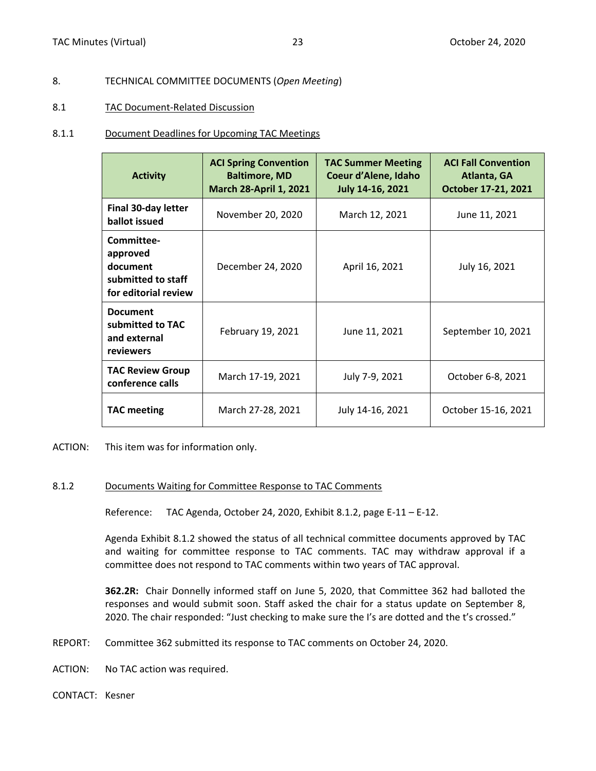#### <span id="page-14-0"></span>8. TECHNICAL COMMITTEE DOCUMENTS (*Open Meeting*)

#### 8.1 TAC Document‐Related Discussion

#### 8.1.1 Document Deadlines for Upcoming TAC Meetings

| <b>Activity</b>                                                                  | <b>ACI Spring Convention</b><br><b>Baltimore, MD</b><br><b>March 28-April 1, 2021</b> | <b>TAC Summer Meeting</b><br>Coeur d'Alene, Idaho<br>July 14-16, 2021 | <b>ACI Fall Convention</b><br>Atlanta, GA<br>October 17-21, 2021 |
|----------------------------------------------------------------------------------|---------------------------------------------------------------------------------------|-----------------------------------------------------------------------|------------------------------------------------------------------|
| <b>Final 30-day letter</b><br>ballot issued                                      | November 20, 2020                                                                     | March 12, 2021                                                        | June 11, 2021                                                    |
| Committee-<br>approved<br>document<br>submitted to staff<br>for editorial review | December 24, 2020                                                                     | April 16, 2021                                                        | July 16, 2021                                                    |
| <b>Document</b><br>submitted to TAC<br>and external<br>reviewers                 | February 19, 2021                                                                     | June 11, 2021                                                         | September 10, 2021                                               |
| <b>TAC Review Group</b><br>conference calls                                      | March 17-19, 2021                                                                     | July 7-9, 2021                                                        | October 6-8, 2021                                                |
| <b>TAC meeting</b>                                                               | March 27-28, 2021                                                                     | July 14-16, 2021                                                      | October 15-16, 2021                                              |

ACTION: This item was for information only.

#### 8.1.2 Documents Waiting for Committee Response to TAC Comments

Reference: TAC Agenda, October 24, 2020, Exhibit 8.1.2, page E-11 – E-12.

Agenda Exhibit 8.1.2 showed the status of all technical committee documents approved by TAC and waiting for committee response to TAC comments. TAC may withdraw approval if a committee does not respond to TAC comments within two years of TAC approval.

**362.2R:** Chair Donnelly informed staff on June 5, 2020, that Committee 362 had balloted the responses and would submit soon. Staff asked the chair for a status update on September 8, 2020. The chair responded: "Just checking to make sure the I's are dotted and the t's crossed."

- REPORT: Committee 362 submitted its response to TAC comments on October 24, 2020.
- ACTION: No TAC action was required.
- CONTACT: Kesner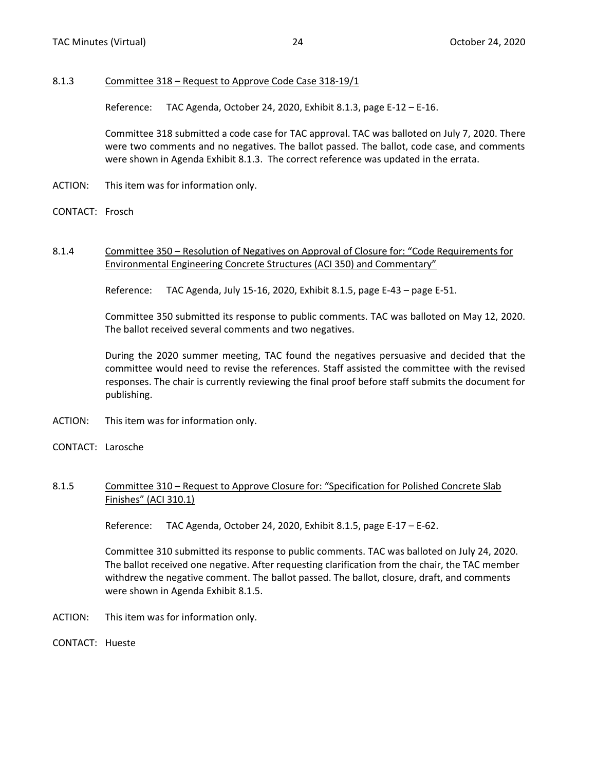#### <span id="page-15-0"></span>8.1.3 Committee 318 – Request to Approve Code Case 318-19/1

Reference: TAC Agenda, October 24, 2020, Exhibit 8.1.3, page E-12 – E-16.

Committee 318 submitted a code case for TAC approval. TAC was balloted on July 7, 2020. There were two comments and no negatives. The ballot passed. The ballot, code case, and comments were shown in Agenda Exhibit 8.1.3. The correct reference was updated in the errata.

- ACTION: This item was for information only.
- CONTACT: Frosch

#### 8.1.4 Committee 350 – Resolution of Negatives on Approval of Closure for: "Code Requirements for Environmental Engineering Concrete Structures (ACI 350) and Commentary"

Reference: TAC Agenda, July 15-16, 2020, Exhibit 8.1.5, page E-43 – page E-51.

Committee 350 submitted its response to public comments. TAC was balloted on May 12, 2020. The ballot received several comments and two negatives.

During the 2020 summer meeting, TAC found the negatives persuasive and decided that the committee would need to revise the references. Staff assisted the committee with the revised responses. The chair is currently reviewing the final proof before staff submits the document for publishing.

- ACTION: This item was for information only.
- CONTACT: Larosche

#### 8.1.5 Committee 310 – Request to Approve Closure for: "Specification for Polished Concrete Slab Finishes" (ACI 310.1)

Reference: TAC Agenda, October 24, 2020, Exhibit 8.1.5, page E-17 – E-62.

Committee 310 submitted its response to public comments. TAC was balloted on July 24, 2020. The ballot received one negative. After requesting clarification from the chair, the TAC member withdrew the negative comment. The ballot passed. The ballot, closure, draft, and comments were shown in Agenda Exhibit 8.1.5.

- ACTION: This item was for information only.
- CONTACT: Hueste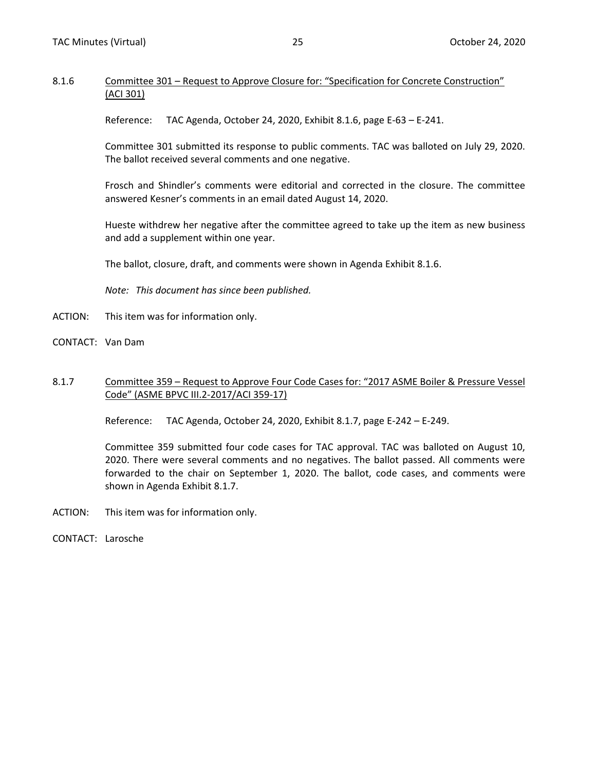#### <span id="page-16-0"></span>8.1.6 Committee 301 – Request to Approve Closure for: "Specification for Concrete Construction" (ACI 301)

Reference: TAC Agenda, October 24, 2020, Exhibit 8.1.6, page E-63 – E-241.

Committee 301 submitted its response to public comments. TAC was balloted on July 29, 2020. The ballot received several comments and one negative.

Frosch and Shindler's comments were editorial and corrected in the closure. The committee answered Kesner's comments in an email dated August 14, 2020.

Hueste withdrew her negative after the committee agreed to take up the item as new business and add a supplement within one year.

The ballot, closure, draft, and comments were shown in Agenda Exhibit 8.1.6.

*Note: This document has since been published.*

- ACTION: This item was for information only.
- CONTACT: Van Dam

#### 8.1.7 Committee 359 – Request to Approve Four Code Cases for: "2017 ASME Boiler & Pressure Vessel Code" (ASME BPVC III.2-2017/ACI 359-17)

Reference: TAC Agenda, October 24, 2020, Exhibit 8.1.7, page E-242 – E-249.

Committee 359 submitted four code cases for TAC approval. TAC was balloted on August 10, 2020. There were several comments and no negatives. The ballot passed. All comments were forwarded to the chair on September 1, 2020. The ballot, code cases, and comments were shown in Agenda Exhibit 8.1.7.

- ACTION: This item was for information only.
- CONTACT: Larosche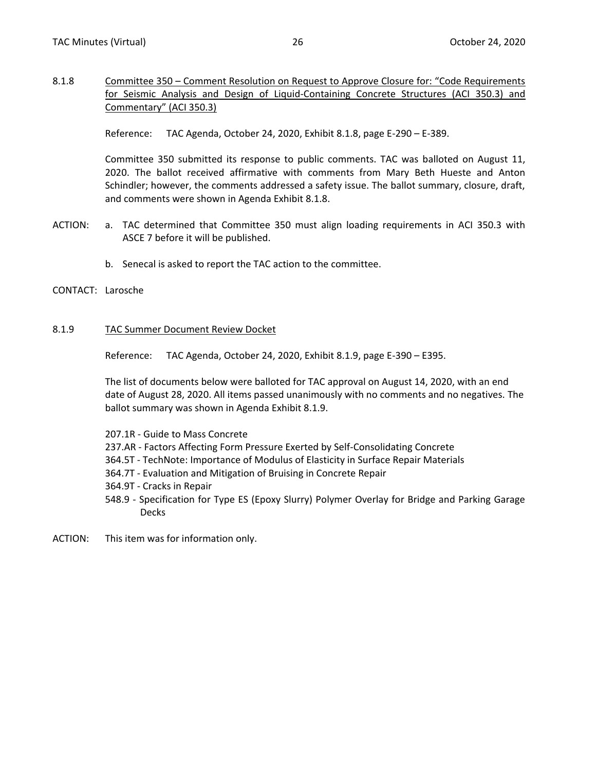<span id="page-17-0"></span>8.1.8 Committee 350 – Comment Resolution on Request to Approve Closure for: "Code Requirements for Seismic Analysis and Design of Liquid-Containing Concrete Structures (ACI 350.3) and Commentary" (ACI 350.3)

Reference: TAC Agenda, October 24, 2020, Exhibit 8.1.8, page E-290 – E-389.

Committee 350 submitted its response to public comments. TAC was balloted on August 11, 2020. The ballot received affirmative with comments from Mary Beth Hueste and Anton Schindler; however, the comments addressed a safety issue. The ballot summary, closure, draft, and comments were shown in Agenda Exhibit 8.1.8.

- ACTION: a. TAC determined that Committee 350 must align loading requirements in ACI 350.3 with ASCE 7 before it will be published.
	- b. Senecal is asked to report the TAC action to the committee.
- CONTACT: Larosche

#### 8.1.9 TAC Summer Document Review Docket

Reference: TAC Agenda, October 24, 2020, Exhibit 8.1.9, page E-390 – E395.

The list of documents below were balloted for TAC approval on August 14, 2020, with an end date of August 28, 2020. All items passed unanimously with no comments and no negatives. The ballot summary was shown in Agenda Exhibit 8.1.9.

- 207.1R Guide to Mass Concrete
- 237.AR Factors Affecting Form Pressure Exerted by Self-Consolidating Concrete
- 364.5T TechNote: Importance of Modulus of Elasticity in Surface Repair Materials
- 364.7T Evaluation and Mitigation of Bruising in Concrete Repair
- 364.9T Cracks in Repair
- 548.9 Specification for Type ES (Epoxy Slurry) Polymer Overlay for Bridge and Parking Garage Decks
- ACTION: This item was for information only.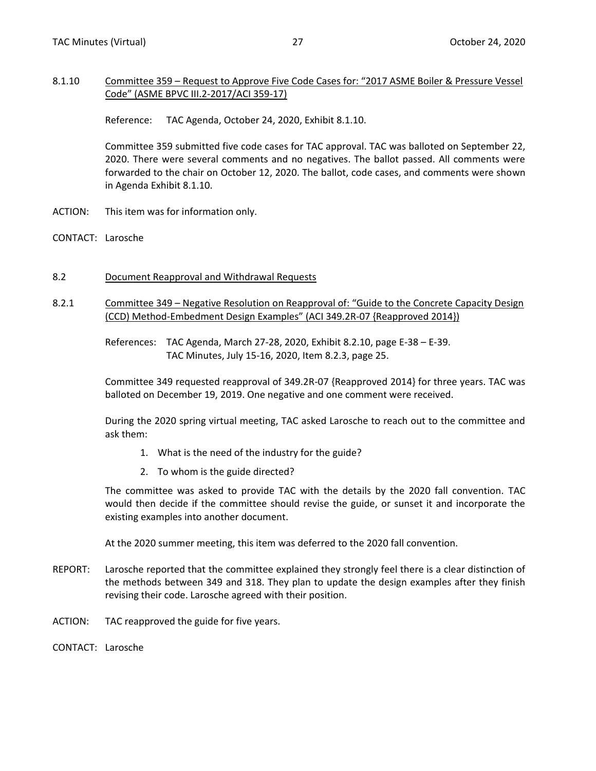#### <span id="page-18-0"></span>8.1.10 Committee 359 – Request to Approve Five Code Cases for: "2017 ASME Boiler & Pressure Vessel Code" (ASME BPVC III.2-2017/ACI 359-17)

Reference: TAC Agenda, October 24, 2020, Exhibit 8.1.10.

Committee 359 submitted five code cases for TAC approval. TAC was balloted on September 22, 2020. There were several comments and no negatives. The ballot passed. All comments were forwarded to the chair on October 12, 2020. The ballot, code cases, and comments were shown in Agenda Exhibit 8.1.10.

- ACTION: This item was for information only.
- CONTACT: Larosche
- 8.2 Document Reapproval and Withdrawal Requests
- 8.2.1 Committee 349 Negative Resolution on Reapproval of: "Guide to the Concrete Capacity Design (CCD) Method-Embedment Design Examples" (ACI 349.2R-07 {Reapproved 2014})

References: TAC Agenda, March 27-28, 2020, Exhibit 8.2.10, page E-38 – E-39. TAC Minutes, July 15-16, 2020, Item 8.2.3, page 25.

Committee 349 requested reapproval of 349.2R-07 {Reapproved 2014} for three years. TAC was balloted on December 19, 2019. One negative and one comment were received.

During the 2020 spring virtual meeting, TAC asked Larosche to reach out to the committee and ask them:

- 1. What is the need of the industry for the guide?
- 2. To whom is the guide directed?

The committee was asked to provide TAC with the details by the 2020 fall convention. TAC would then decide if the committee should revise the guide, or sunset it and incorporate the existing examples into another document.

At the 2020 summer meeting, this item was deferred to the 2020 fall convention.

- REPORT: Larosche reported that the committee explained they strongly feel there is a clear distinction of the methods between 349 and 318. They plan to update the design examples after they finish revising their code. Larosche agreed with their position.
- ACTION: TAC reapproved the guide for five years.
- CONTACT: Larosche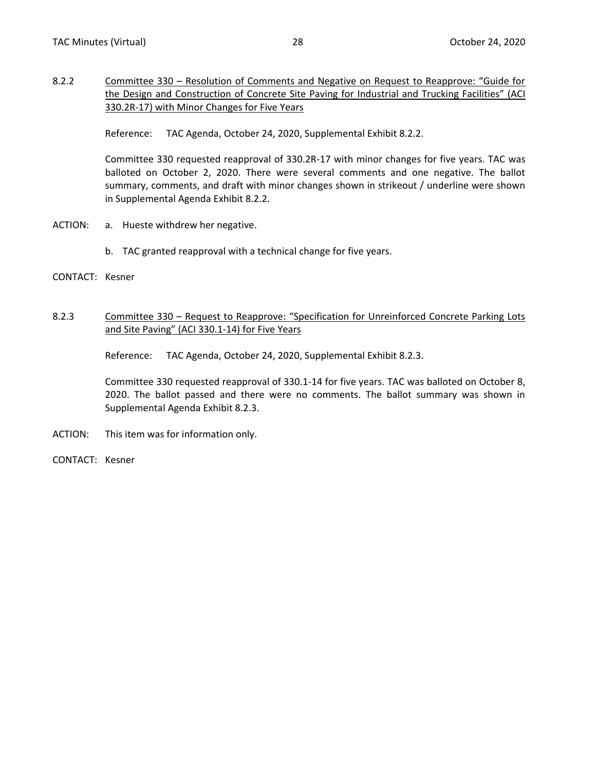<span id="page-19-0"></span>8.2.2 Committee 330 – Resolution of Comments and Negative on Request to Reapprove: "Guide for the Design and Construction of Concrete Site Paving for Industrial and Trucking Facilities" (ACI 330.2R-17) with Minor Changes for Five Years

Reference: TAC Agenda, October 24, 2020, Supplemental Exhibit 8.2.2.

Committee 330 requested reapproval of 330.2R-17 with minor changes for five years. TAC was balloted on October 2, 2020. There were several comments and one negative. The ballot summary, comments, and draft with minor changes shown in strikeout / underline were shown in Supplemental Agenda Exhibit 8.2.2.

- ACTION: a. Hueste withdrew her negative.
	- b. TAC granted reapproval with a technical change for five years.
- CONTACT: Kesner

#### 8.2.3 Committee 330 – Request to Reapprove: "Specification for Unreinforced Concrete Parking Lots and Site Paving" (ACI 330.1-14) for Five Years

Reference: TAC Agenda, October 24, 2020, Supplemental Exhibit 8.2.3.

Committee 330 requested reapproval of 330.1-14 for five years. TAC was balloted on October 8, 2020. The ballot passed and there were no comments. The ballot summary was shown in Supplemental Agenda Exhibit 8.2.3.

- ACTION: This item was for information only.
- CONTACT: Kesner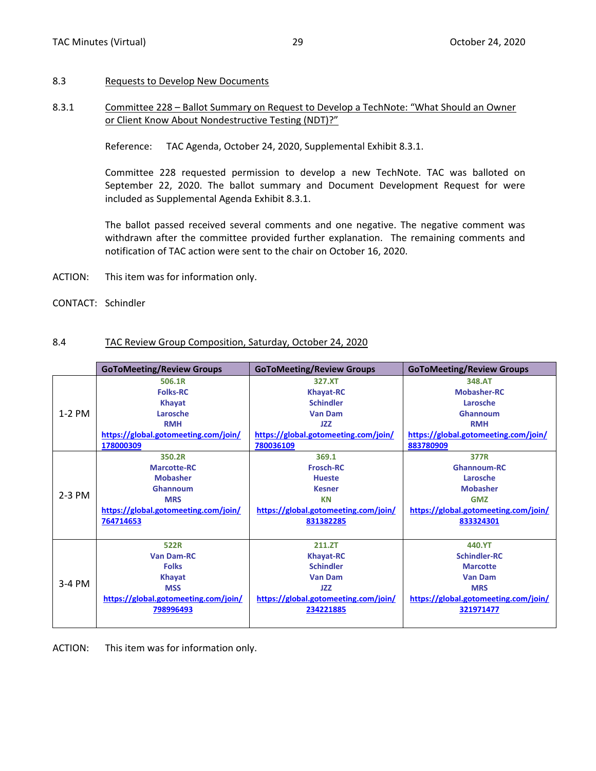#### <span id="page-20-0"></span>8.3 Requests to Develop New Documents

#### 8.3.1 Committee 228 – Ballot Summary on Request to Develop a TechNote: "What Should an Owner or Client Know About Nondestructive Testing (NDT)?"

Reference: TAC Agenda, October 24, 2020, Supplemental Exhibit 8.3.1.

Committee 228 requested permission to develop a new TechNote. TAC was balloted on September 22, 2020. The ballot summary and Document Development Request for were included as Supplemental Agenda Exhibit 8.3.1.

The ballot passed received several comments and one negative. The negative comment was withdrawn after the committee provided further explanation. The remaining comments and notification of TAC action were sent to the chair on October 16, 2020.

- ACTION: This item was for information only.
- CONTACT: Schindler

#### 8.4 TAC Review Group Composition, Saturday, October 24, 2020

|          | <b>GoToMeeting/Review Groups</b>     | <b>GoToMeeting/Review Groups</b>     | <b>GoToMeeting/Review Groups</b>     |  |  |  |  |  |
|----------|--------------------------------------|--------------------------------------|--------------------------------------|--|--|--|--|--|
|          | 506.1R                               | 327.XT                               | 348.AT                               |  |  |  |  |  |
|          | <b>Folks-RC</b>                      | <b>Khayat-RC</b>                     | <b>Mobasher-RC</b>                   |  |  |  |  |  |
|          | Khayat                               | <b>Schindler</b>                     | Larosche                             |  |  |  |  |  |
| $1-2$ PM | Larosche                             | <b>Van Dam</b>                       | Ghannoum                             |  |  |  |  |  |
|          | <b>RMH</b>                           | JZZ                                  | <b>RMH</b>                           |  |  |  |  |  |
|          | https://global.gotomeeting.com/join/ | https://global.gotomeeting.com/join/ | https://global.gotomeeting.com/join/ |  |  |  |  |  |
|          | 178000309                            | 780036109                            | 883780909                            |  |  |  |  |  |
|          | 350.2R                               | 369.1                                | 377R                                 |  |  |  |  |  |
|          | <b>Marcotte-RC</b>                   | <b>Frosch-RC</b>                     | Ghannoum-RC                          |  |  |  |  |  |
|          | <b>Mobasher</b>                      | <b>Hueste</b>                        | Larosche                             |  |  |  |  |  |
|          | Ghannoum                             | <b>Kesner</b>                        | <b>Mobasher</b>                      |  |  |  |  |  |
| $2-3$ PM | <b>MRS</b>                           | <b>KN</b>                            | <b>GMZ</b>                           |  |  |  |  |  |
|          | https://global.gotomeeting.com/join/ | https://global.gotomeeting.com/join/ | https://global.gotomeeting.com/join/ |  |  |  |  |  |
|          | 764714653                            | 831382285                            | 833324301                            |  |  |  |  |  |
|          |                                      |                                      |                                      |  |  |  |  |  |
|          | 522R                                 | 211.ZT                               | 440.YT                               |  |  |  |  |  |
|          | <b>Van Dam-RC</b>                    | <b>Khayat-RC</b>                     | <b>Schindler-RC</b>                  |  |  |  |  |  |
|          | <b>Folks</b>                         | <b>Schindler</b>                     | <b>Marcotte</b>                      |  |  |  |  |  |
|          | <b>Khayat</b>                        | <b>Van Dam</b>                       | <b>Van Dam</b>                       |  |  |  |  |  |
| $3-4$ PM | <b>MSS</b>                           | JZZ                                  | <b>MRS</b>                           |  |  |  |  |  |
|          | https://global.gotomeeting.com/join/ | https://global.gotomeeting.com/join/ | https://global.gotomeeting.com/join/ |  |  |  |  |  |
|          | 798996493                            | 234221885                            | 321971477                            |  |  |  |  |  |
|          |                                      |                                      |                                      |  |  |  |  |  |

ACTION: This item was for information only.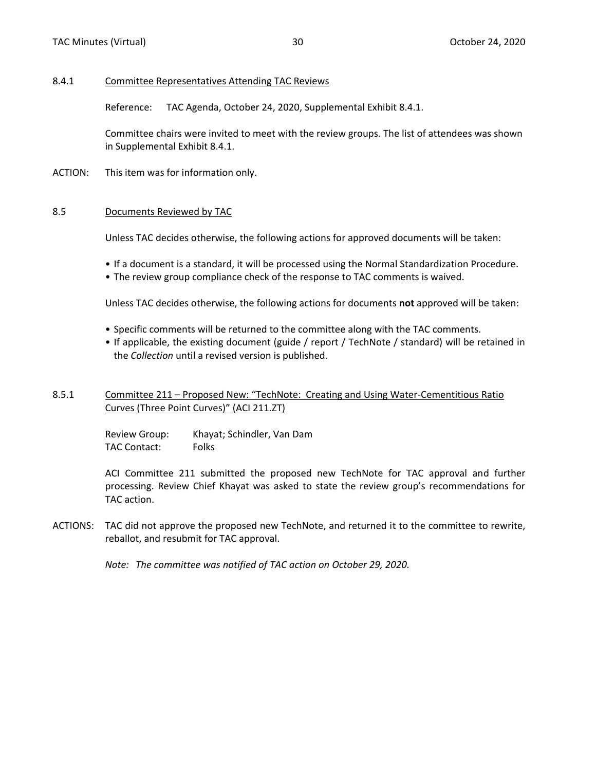#### <span id="page-21-0"></span>8.4.1 Committee Representatives Attending TAC Reviews

Reference: TAC Agenda, October 24, 2020, Supplemental Exhibit 8.4.1.

Committee chairs were invited to meet with the review groups. The list of attendees was shown in Supplemental Exhibit 8.4.1.

ACTION: This item was for information only.

#### 8.5 Documents Reviewed by TAC

Unless TAC decides otherwise, the following actions for approved documents will be taken:

- If a document is a standard, it will be processed using the Normal Standardization Procedure.
- The review group compliance check of the response to TAC comments is waived.

Unless TAC decides otherwise, the following actions for documents **not** approved will be taken:

- Specific comments will be returned to the committee along with the TAC comments.
- If applicable, the existing document (guide / report / TechNote / standard) will be retained in the *Collection* until a revised version is published.

#### 8.5.1 Committee 211 – Proposed New: "TechNote: Creating and Using Water-Cementitious Ratio Curves (Three Point Curves)" (ACI 211.ZT)

Review Group: Khayat; Schindler, Van Dam TAC Contact: Folks

ACI Committee 211 submitted the proposed new TechNote for TAC approval and further processing. Review Chief Khayat was asked to state the review group's recommendations for TAC action.

ACTIONS: TAC did not approve the proposed new TechNote, and returned it to the committee to rewrite, reballot, and resubmit for TAC approval.

*Note: The committee was notified of TAC action on October 29, 2020.*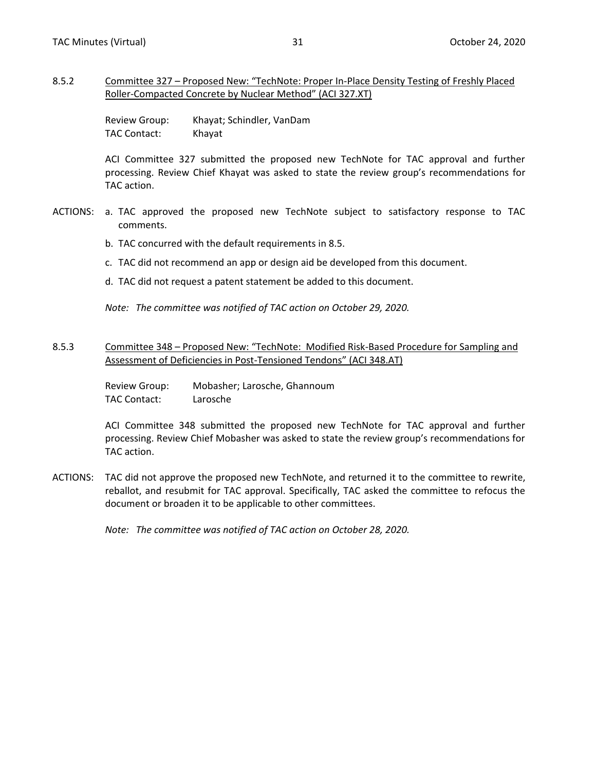#### <span id="page-22-0"></span>8.5.2 Committee 327 – Proposed New: "TechNote: Proper In-Place Density Testing of Freshly Placed Roller-Compacted Concrete by Nuclear Method" (ACI 327.XT)

Review Group: Khayat; Schindler, VanDam TAC Contact: Khayat

ACI Committee 327 submitted the proposed new TechNote for TAC approval and further processing. Review Chief Khayat was asked to state the review group's recommendations for TAC action.

- ACTIONS: a. TAC approved the proposed new TechNote subject to satisfactory response to TAC comments.
	- b. TAC concurred with the default requirements in 8.5.
	- c. TAC did not recommend an app or design aid be developed from this document.
	- d. TAC did not request a patent statement be added to this document.

*Note: The committee was notified of TAC action on October 29, 2020.*

#### 8.5.3 Committee 348 – Proposed New: "TechNote: Modified Risk-Based Procedure for Sampling and Assessment of Deficiencies in Post-Tensioned Tendons" (ACI 348.AT)

Review Group: Mobasher; Larosche, Ghannoum TAC Contact: Larosche

ACI Committee 348 submitted the proposed new TechNote for TAC approval and further processing. Review Chief Mobasher was asked to state the review group's recommendations for TAC action.

ACTIONS: TAC did not approve the proposed new TechNote, and returned it to the committee to rewrite, reballot, and resubmit for TAC approval. Specifically, TAC asked the committee to refocus the document or broaden it to be applicable to other committees.

*Note: The committee was notified of TAC action on October 28, 2020.*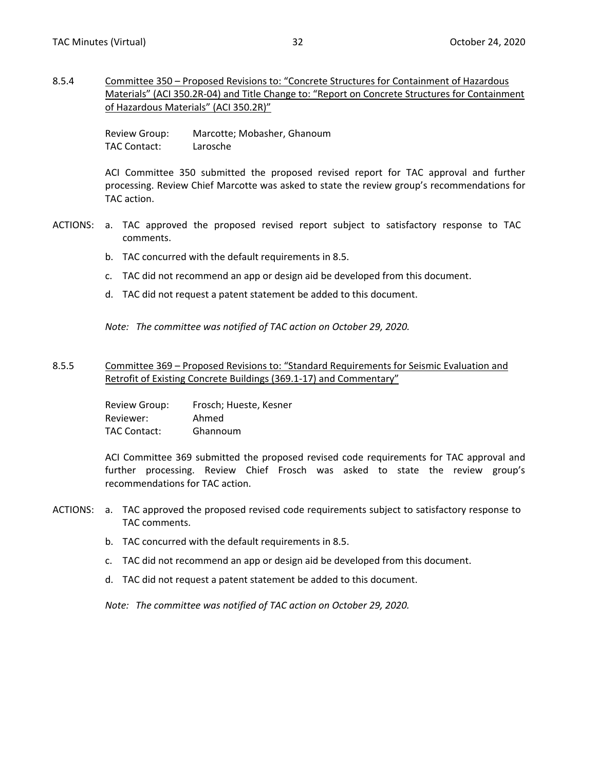<span id="page-23-0"></span>8.5.4 Committee 350 – Proposed Revisions to: "Concrete Structures for Containment of Hazardous Materials" (ACI 350.2R-04) and Title Change to: "Report on Concrete Structures for Containment of Hazardous Materials" (ACI 350.2R)"

> Review Group: Marcotte; Mobasher, Ghanoum TAC Contact: Larosche

ACI Committee 350 submitted the proposed revised report for TAC approval and further processing. Review Chief Marcotte was asked to state the review group's recommendations for TAC action.

- ACTIONS: a. TAC approved the proposed revised report subject to satisfactory response to TAC comments.
	- b. TAC concurred with the default requirements in 8.5.
	- c. TAC did not recommend an app or design aid be developed from this document.
	- d. TAC did not request a patent statement be added to this document.

*Note: The committee was notified of TAC action on October 29, 2020.*

#### 8.5.5 Committee 369 – Proposed Revisions to: "Standard Requirements for Seismic Evaluation and Retrofit of Existing Concrete Buildings (369.1-17) and Commentary"

Review Group: Frosch; Hueste, Kesner Reviewer: Ahmed TAC Contact: Ghannoum

ACI Committee 369 submitted the proposed revised code requirements for TAC approval and further processing. Review Chief Frosch was asked to state the review group's recommendations for TAC action.

- ACTIONS: a. TAC approved the proposed revised code requirements subject to satisfactory response to TAC comments.
	- b. TAC concurred with the default requirements in 8.5.
	- c. TAC did not recommend an app or design aid be developed from this document.
	- d. TAC did not request a patent statement be added to this document.

*Note: The committee was notified of TAC action on October 29, 2020.*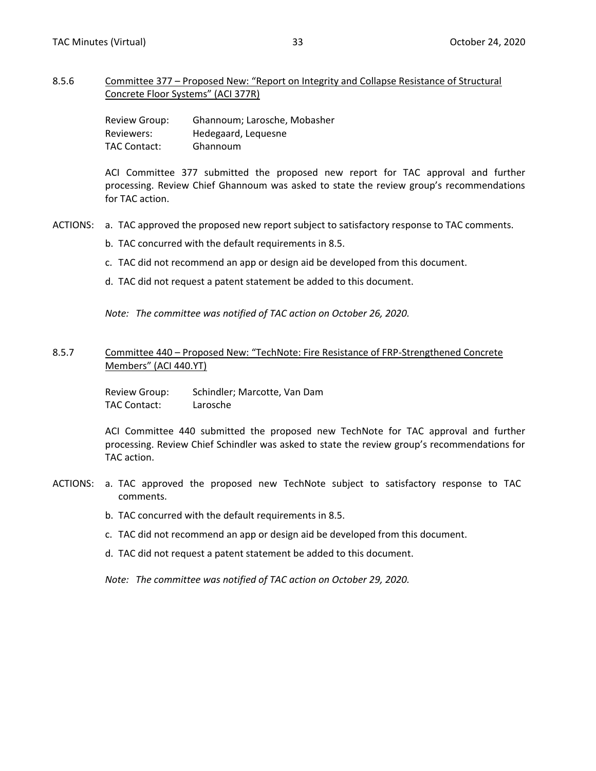#### <span id="page-24-0"></span>8.5.6 Committee 377 – Proposed New: "Report on Integrity and Collapse Resistance of Structural Concrete Floor Systems" (ACI 377R)

Review Group: Ghannoum; Larosche, Mobasher Reviewers: Hedegaard, Lequesne TAC Contact: Ghannoum

ACI Committee 377 submitted the proposed new report for TAC approval and further processing. Review Chief Ghannoum was asked to state the review group's recommendations for TAC action.

- ACTIONS: a. TAC approved the proposed new report subject to satisfactory response to TAC comments.
	- b. TAC concurred with the default requirements in 8.5.
	- c. TAC did not recommend an app or design aid be developed from this document.
	- d. TAC did not request a patent statement be added to this document.

*Note: The committee was notified of TAC action on October 26, 2020.*

#### 8.5.7 Committee 440 – Proposed New: "TechNote: Fire Resistance of FRP-Strengthened Concrete Members" (ACI 440.YT)

Review Group: Schindler; Marcotte, Van Dam TAC Contact: Larosche

ACI Committee 440 submitted the proposed new TechNote for TAC approval and further processing. Review Chief Schindler was asked to state the review group's recommendations for TAC action.

- ACTIONS: a. TAC approved the proposed new TechNote subject to satisfactory response to TAC comments.
	- b. TAC concurred with the default requirements in 8.5.
	- c. TAC did not recommend an app or design aid be developed from this document.
	- d. TAC did not request a patent statement be added to this document.

*Note: The committee was notified of TAC action on October 29, 2020.*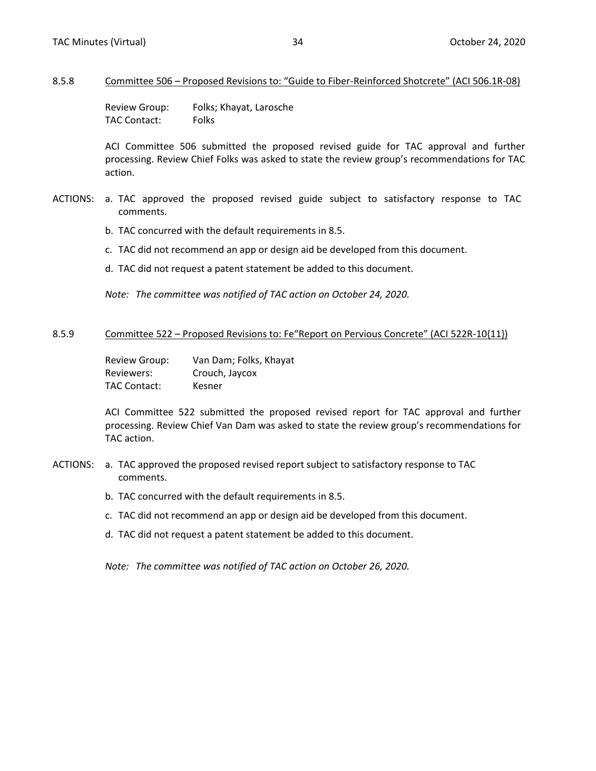#### <span id="page-25-0"></span>8.5.8 Committee 506 – Proposed Revisions to: "Guide to Fiber-Reinforced Shotcrete" (ACI 506.1R-08)

Review Group: Folks; Khayat, Larosche TAC Contact: Folks

ACI Committee 506 submitted the proposed revised guide for TAC approval and further processing. Review Chief Folks was asked to state the review group's recommendations for TAC action.

- ACTIONS: a. TAC approved the proposed revised guide subject to satisfactory response to TAC comments.
	- b. TAC concurred with the default requirements in 8.5.
	- c. TAC did not recommend an app or design aid be developed from this document.
	- d. TAC did not request a patent statement be added to this document.

*Note: The committee was notified of TAC action on October 24, 2020.*

#### 8.5.9 Committee 522 – Proposed Revisions to: Fe"Report on Pervious Concrete" (ACI 522R-10{11})

Review Group: Van Dam; Folks, Khayat Reviewers: Crouch, Jaycox TAC Contact: Kesner

ACI Committee 522 submitted the proposed revised report for TAC approval and further processing. Review Chief Van Dam was asked to state the review group's recommendations for TAC action.

- ACTIONS: a. TAC approved the proposed revised report subject to satisfactory response to TAC comments.
	- b. TAC concurred with the default requirements in 8.5.
	- c. TAC did not recommend an app or design aid be developed from this document.
	- d. TAC did not request a patent statement be added to this document.

*Note: The committee was notified of TAC action on October 26, 2020.*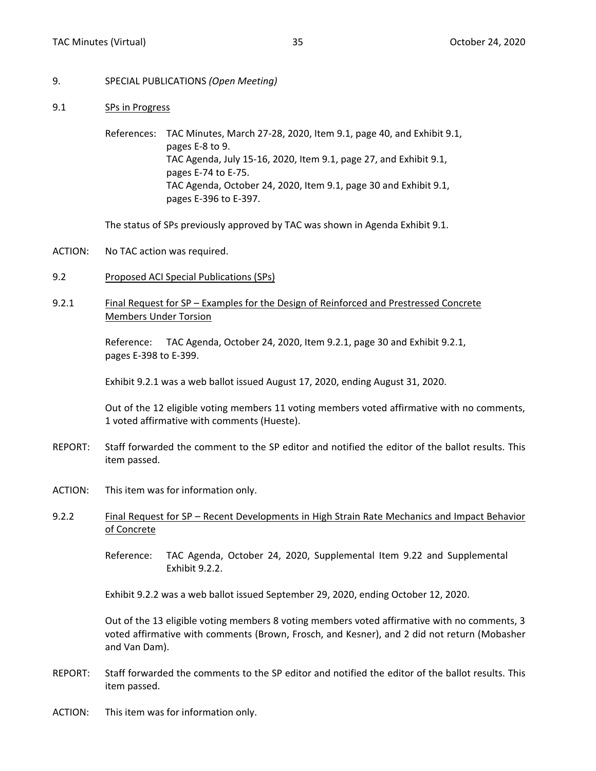- <span id="page-26-0"></span>9. SPECIAL PUBLICATIONS *(Open Meeting)*
- 9.1 SPs in Progress

References: TAC Minutes, March 27-28, 2020, Item 9.1, page 40, and Exhibit 9.1, pages E-8 to 9. TAC Agenda, July 15-16, 2020, Item 9.1, page 27, and Exhibit 9.1, pages E-74 to E-75. TAC Agenda, October 24, 2020, Item 9.1, page 30 and Exhibit 9.1, pages E-396 to E-397.

The status of SPs previously approved by TAC was shown in Agenda Exhibit 9.1.

- ACTION: No TAC action was required.
- 9.2 Proposed ACI Special Publications (SPs)
- 9.2.1 Final Request for SP Examples for the Design of Reinforced and Prestressed Concrete Members Under Torsion

Reference: TAC Agenda, October 24, 2020, Item 9.2.1, page 30 and Exhibit 9.2.1, pages E-398 to E-399.

Exhibit 9.2.1 was a web ballot issued August 17, 2020, ending August 31, 2020.

Out of the 12 eligible voting members 11 voting members voted affirmative with no comments, 1 voted affirmative with comments (Hueste).

- REPORT: Staff forwarded the comment to the SP editor and notified the editor of the ballot results. This item passed.
- ACTION: This item was for information only.
- 9.2.2 Final Request for SP Recent Developments in High Strain Rate Mechanics and Impact Behavior of Concrete

Reference: TAC Agenda, October 24, 2020, Supplemental Item 9.22 and Supplemental Exhibit 9.2.2.

Exhibit 9.2.2 was a web ballot issued September 29, 2020, ending October 12, 2020.

Out of the 13 eligible voting members 8 voting members voted affirmative with no comments, 3 voted affirmative with comments (Brown, Frosch, and Kesner), and 2 did not return (Mobasher and Van Dam).

- REPORT: Staff forwarded the comments to the SP editor and notified the editor of the ballot results. This item passed.
- ACTION: This item was for information only.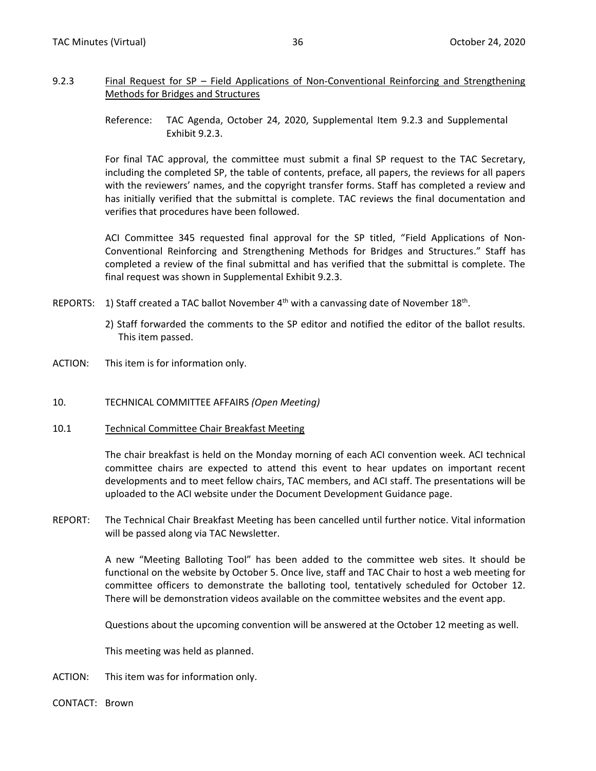#### <span id="page-27-0"></span>9.2.3 Final Request for SP – Field Applications of Non-Conventional Reinforcing and Strengthening Methods for Bridges and Structures

Reference: TAC Agenda, October 24, 2020, Supplemental Item 9.2.3 and Supplemental Exhibit 9.2.3.

For final TAC approval, the committee must submit a final SP request to the TAC Secretary, including the completed SP, the table of contents, preface, all papers, the reviews for all papers with the reviewers' names, and the copyright transfer forms. Staff has completed a review and has initially verified that the submittal is complete. TAC reviews the final documentation and verifies that procedures have been followed.

ACI Committee 345 requested final approval for the SP titled, "Field Applications of Non-Conventional Reinforcing and Strengthening Methods for Bridges and Structures." Staff has completed a review of the final submittal and has verified that the submittal is complete. The final request was shown in Supplemental Exhibit 9.2.3.

- REPORTS: 1) Staff created a TAC ballot November  $4^{\text{th}}$  with a canvassing date of November 18<sup>th</sup>.
	- 2) Staff forwarded the comments to the SP editor and notified the editor of the ballot results. This item passed.
- ACTION: This item is for information only.
- 10. TECHNICAL COMMITTEE AFFAIRS *(Open Meeting)*
- 10.1 Technical Committee Chair Breakfast Meeting

The chair breakfast is held on the Monday morning of each ACI convention week. ACI technical committee chairs are expected to attend this event to hear updates on important recent developments and to meet fellow chairs, TAC members, and ACI staff. The presentations will be uploaded to the ACI website under the Document Development Guidance page.

REPORT: The Technical Chair Breakfast Meeting has been cancelled until further notice. Vital information will be passed along via TAC Newsletter.

> A new "Meeting Balloting Tool" has been added to the committee web sites. It should be functional on the website by October 5. Once live, staff and TAC Chair to host a web meeting for committee officers to demonstrate the balloting tool, tentatively scheduled for October 12. There will be demonstration videos available on the committee websites and the event app.

Questions about the upcoming convention will be answered at the October 12 meeting as well.

This meeting was held as planned.

- ACTION: This item was for information only.
- CONTACT: Brown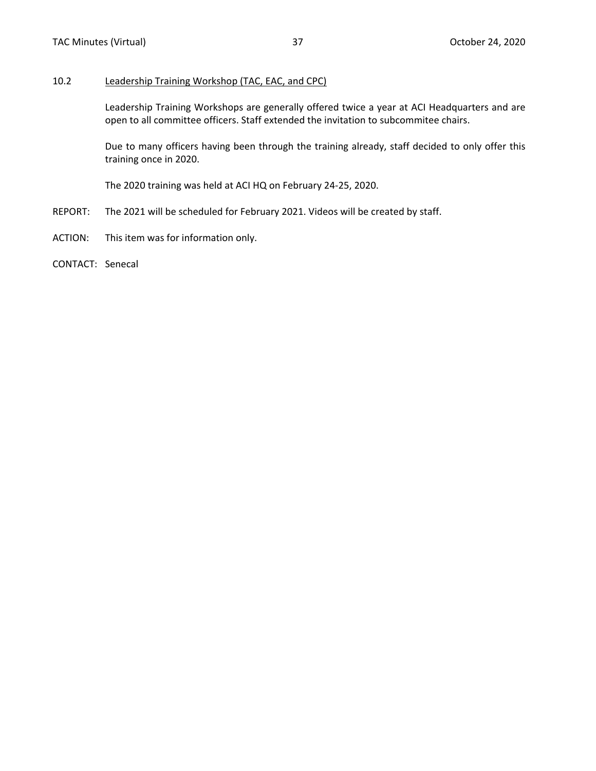#### <span id="page-28-0"></span>10.2 Leadership Training Workshop (TAC, EAC, and CPC)

Leadership Training Workshops are generally offered twice a year at ACI Headquarters and are open to all committee officers. Staff extended the invitation to subcommitee chairs.

Due to many officers having been through the training already, staff decided to only offer this training once in 2020.

The 2020 training was held at ACI HQ on February 24-25, 2020.

- REPORT: The 2021 will be scheduled for February 2021. Videos will be created by staff.
- ACTION: This item was for information only.
- CONTACT: Senecal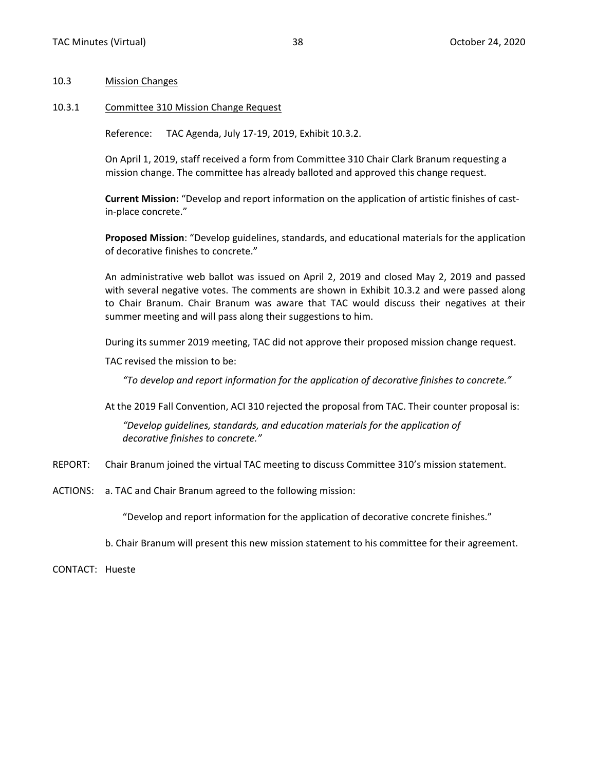#### <span id="page-29-0"></span>10.3 Mission Changes

#### 10.3.1 Committee 310 Mission Change Request

Reference: TAC Agenda, July 17-19, 2019, Exhibit 10.3.2.

On April 1, 2019, staff received a form from Committee 310 Chair Clark Branum requesting a mission change. The committee has already balloted and approved this change request.

**Current Mission:** "Develop and report information on the application of artistic finishes of castin-place concrete."

**Proposed Mission**: "Develop guidelines, standards, and educational materials for the application of decorative finishes to concrete."

An administrative web ballot was issued on April 2, 2019 and closed May 2, 2019 and passed with several negative votes. The comments are shown in Exhibit 10.3.2 and were passed along to Chair Branum. Chair Branum was aware that TAC would discuss their negatives at their summer meeting and will pass along their suggestions to him.

During its summer 2019 meeting, TAC did not approve their proposed mission change request.

TAC revised the mission to be:

*"To develop and report information for the application of decorative finishes to concrete."*

At the 2019 Fall Convention, ACI 310 rejected the proposal from TAC. Their counter proposal is:

*"Develop guidelines, standards, and education materials for the application of decorative finishes to concrete."*

- REPORT: Chair Branum joined the virtual TAC meeting to discuss Committee 310's mission statement.
- ACTIONS: a. TAC and Chair Branum agreed to the following mission:

"Develop and report information for the application of decorative concrete finishes."

b. Chair Branum will present this new mission statement to his committee for their agreement.

CONTACT: Hueste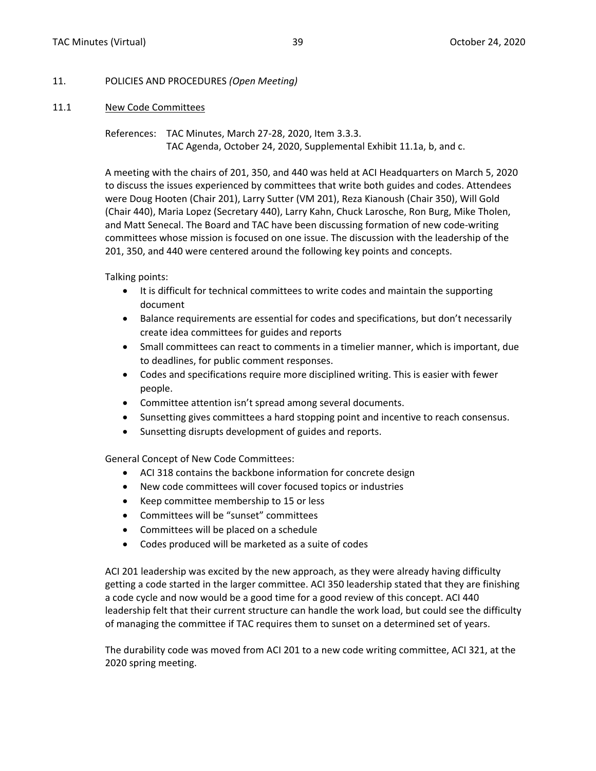#### <span id="page-30-0"></span>11. POLICIES AND PROCEDURES *(Open Meeting)*

#### 11.1 New Code Committees

References: TAC Minutes, March 27-28, 2020, Item 3.3.3. TAC Agenda, October 24, 2020, Supplemental Exhibit 11.1a, b, and c.

A meeting with the chairs of 201, 350, and 440 was held at ACI Headquarters on March 5, 2020 to discuss the issues experienced by committees that write both guides and codes. Attendees were Doug Hooten (Chair 201), Larry Sutter (VM 201), Reza Kianoush (Chair 350), Will Gold (Chair 440), Maria Lopez (Secretary 440), Larry Kahn, Chuck Larosche, Ron Burg, Mike Tholen, and Matt Senecal. The Board and TAC have been discussing formation of new code-writing committees whose mission is focused on one issue. The discussion with the leadership of the 201, 350, and 440 were centered around the following key points and concepts.

Talking points:

- It is difficult for technical committees to write codes and maintain the supporting document
- Balance requirements are essential for codes and specifications, but don't necessarily create idea committees for guides and reports
- Small committees can react to comments in a timelier manner, which is important, due to deadlines, for public comment responses.
- Codes and specifications require more disciplined writing. This is easier with fewer people.
- Committee attention isn't spread among several documents.
- Sunsetting gives committees a hard stopping point and incentive to reach consensus.
- Sunsetting disrupts development of guides and reports.

General Concept of New Code Committees:

- ACI 318 contains the backbone information for concrete design
- New code committees will cover focused topics or industries
- Keep committee membership to 15 or less
- Committees will be "sunset" committees
- Committees will be placed on a schedule
- Codes produced will be marketed as a suite of codes

ACI 201 leadership was excited by the new approach, as they were already having difficulty getting a code started in the larger committee. ACI 350 leadership stated that they are finishing a code cycle and now would be a good time for a good review of this concept. ACI 440 leadership felt that their current structure can handle the work load, but could see the difficulty of managing the committee if TAC requires them to sunset on a determined set of years.

The durability code was moved from ACI 201 to a new code writing committee, ACI 321, at the 2020 spring meeting.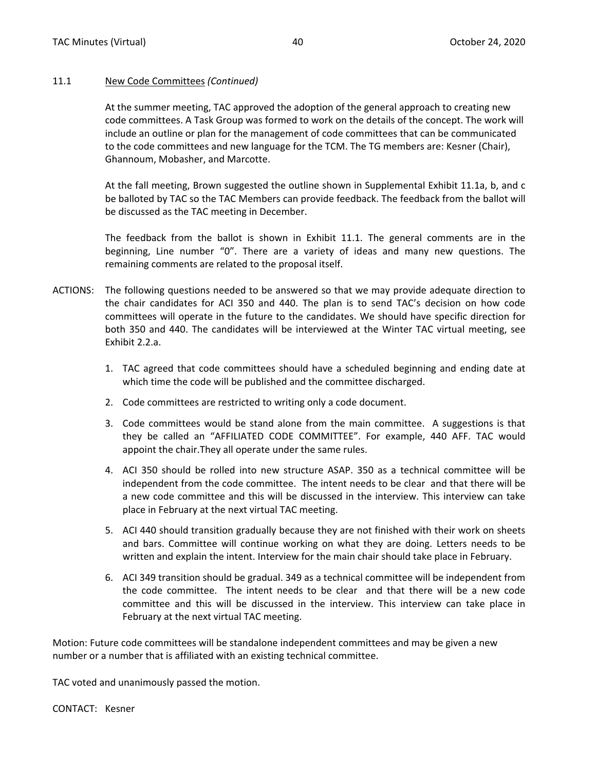#### 11.1 New Code Committees *(Continued)*

At the summer meeting, TAC approved the adoption of the general approach to creating new code committees. A Task Group was formed to work on the details of the concept. The work will include an outline or plan for the management of code committees that can be communicated to the code committees and new language for the TCM. The TG members are: Kesner (Chair), Ghannoum, Mobasher, and Marcotte.

At the fall meeting, Brown suggested the outline shown in Supplemental Exhibit 11.1a, b, and c be balloted by TAC so the TAC Members can provide feedback. The feedback from the ballot will be discussed as the TAC meeting in December.

The feedback from the ballot is shown in Exhibit 11.1. The general comments are in the beginning, Line number "0". There are a variety of ideas and many new questions. The remaining comments are related to the proposal itself.

- ACTIONS: The following questions needed to be answered so that we may provide adequate direction to the chair candidates for ACI 350 and 440. The plan is to send TAC's decision on how code committees will operate in the future to the candidates. We should have specific direction for both 350 and 440. The candidates will be interviewed at the Winter TAC virtual meeting, see Exhibit 2.2.a.
	- 1. TAC agreed that code committees should have a scheduled beginning and ending date at which time the code will be published and the committee discharged.
	- 2. Code committees are restricted to writing only a code document.
	- 3. Code committees would be stand alone from the main committee. A suggestions is that they be called an "AFFILIATED CODE COMMITTEE". For example, 440 AFF. TAC would appoint the chair.They all operate under the same rules.
	- 4. ACI 350 should be rolled into new structure ASAP. 350 as a technical committee will be independent from the code committee. The intent needs to be clear and that there will be a new code committee and this will be discussed in the interview. This interview can take place in February at the next virtual TAC meeting.
	- 5. ACI 440 should transition gradually because they are not finished with their work on sheets and bars. Committee will continue working on what they are doing. Letters needs to be written and explain the intent. Interview for the main chair should take place in February.
	- 6. ACI 349 transition should be gradual. 349 as a technical committee will be independent from the code committee. The intent needs to be clear and that there will be a new code committee and this will be discussed in the interview. This interview can take place in February at the next virtual TAC meeting.

Motion: Future code committees will be standalone independent committees and may be given a new number or a number that is affiliated with an existing technical committee.

TAC voted and unanimously passed the motion.

CONTACT: Kesner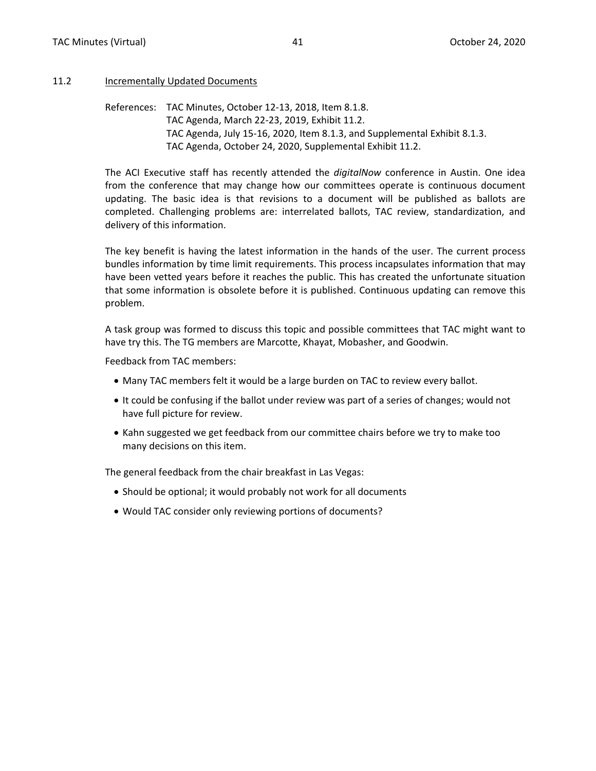#### <span id="page-32-0"></span>11.2 Incrementally Updated Documents

References: TAC Minutes, October 12-13, 2018, Item 8.1.8. TAC Agenda, March 22-23, 2019, Exhibit 11.2. TAC Agenda, July 15-16, 2020, Item 8.1.3, and Supplemental Exhibit 8.1.3. TAC Agenda, October 24, 2020, Supplemental Exhibit 11.2.

The ACI Executive staff has recently attended the *digitalNow* conference in Austin. One idea from the conference that may change how our committees operate is continuous document updating. The basic idea is that revisions to a document will be published as ballots are completed. Challenging problems are: interrelated ballots, TAC review, standardization, and delivery of this information.

The key benefit is having the latest information in the hands of the user. The current process bundles information by time limit requirements. This process incapsulates information that may have been vetted years before it reaches the public. This has created the unfortunate situation that some information is obsolete before it is published. Continuous updating can remove this problem.

A task group was formed to discuss this topic and possible committees that TAC might want to have try this. The TG members are Marcotte, Khayat, Mobasher, and Goodwin.

Feedback from TAC members:

- Many TAC members felt it would be a large burden on TAC to review every ballot.
- It could be confusing if the ballot under review was part of a series of changes; would not have full picture for review.
- Kahn suggested we get feedback from our committee chairs before we try to make too many decisions on this item.

The general feedback from the chair breakfast in Las Vegas:

- Should be optional; it would probably not work for all documents
- Would TAC consider only reviewing portions of documents?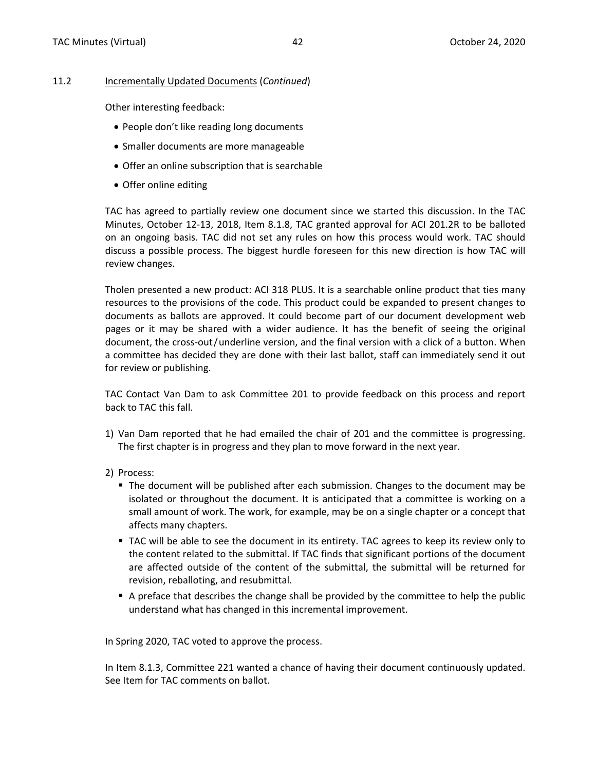#### 11.2 Incrementally Updated Documents (*Continued*)

Other interesting feedback:

- People don't like reading long documents
- Smaller documents are more manageable
- Offer an online subscription that is searchable
- Offer online editing

TAC has agreed to partially review one document since we started this discussion. In the TAC Minutes, October 12-13, 2018, Item 8.1.8, TAC granted approval for ACI 201.2R to be balloted on an ongoing basis. TAC did not set any rules on how this process would work. TAC should discuss a possible process. The biggest hurdle foreseen for this new direction is how TAC will review changes.

Tholen presented a new product: ACI 318 PLUS. It is a searchable online product that ties many resources to the provisions of the code. This product could be expanded to present changes to documents as ballots are approved. It could become part of our document development web pages or it may be shared with a wider audience. It has the benefit of seeing the original document, the cross-out/underline version, and the final version with a click of a button. When a committee has decided they are done with their last ballot, staff can immediately send it out for review or publishing.

TAC Contact Van Dam to ask Committee 201 to provide feedback on this process and report back to TAC this fall.

- 1) Van Dam reported that he had emailed the chair of 201 and the committee is progressing. The first chapter is in progress and they plan to move forward in the next year.
- 2) Process:
	- The document will be published after each submission. Changes to the document may be isolated or throughout the document. It is anticipated that a committee is working on a small amount of work. The work, for example, may be on a single chapter or a concept that affects many chapters.
	- TAC will be able to see the document in its entirety. TAC agrees to keep its review only to the content related to the submittal. If TAC finds that significant portions of the document are affected outside of the content of the submittal, the submittal will be returned for revision, reballoting, and resubmittal.
	- A preface that describes the change shall be provided by the committee to help the public understand what has changed in this incremental improvement.

In Spring 2020, TAC voted to approve the process.

In Item 8.1.3, Committee 221 wanted a chance of having their document continuously updated. See Item for TAC comments on ballot.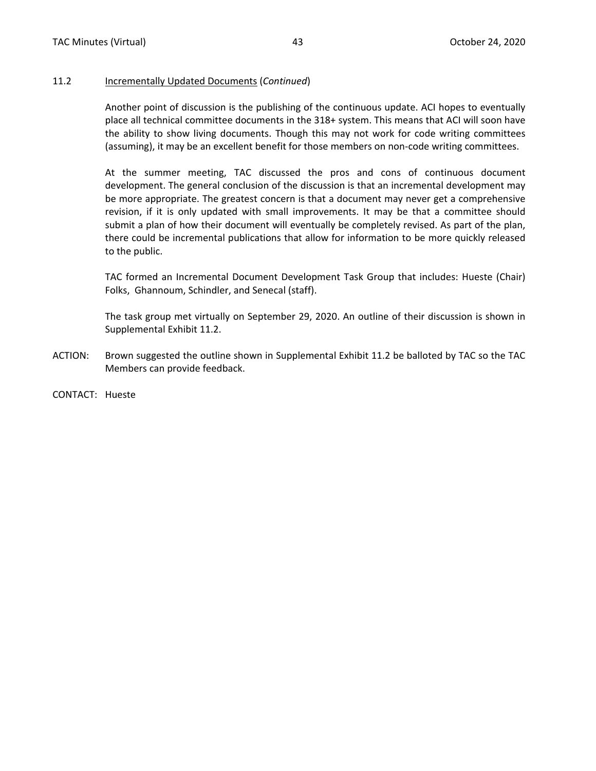#### 11.2 Incrementally Updated Documents (*Continued*)

Another point of discussion is the publishing of the continuous update. ACI hopes to eventually place all technical committee documents in the 318+ system. This means that ACI will soon have the ability to show living documents. Though this may not work for code writing committees (assuming), it may be an excellent benefit for those members on non-code writing committees.

At the summer meeting, TAC discussed the pros and cons of continuous document development. The general conclusion of the discussion is that an incremental development may be more appropriate. The greatest concern is that a document may never get a comprehensive revision, if it is only updated with small improvements. It may be that a committee should submit a plan of how their document will eventually be completely revised. As part of the plan, there could be incremental publications that allow for information to be more quickly released to the public.

TAC formed an Incremental Document Development Task Group that includes: Hueste (Chair) Folks, Ghannoum, Schindler, and Senecal (staff).

The task group met virtually on September 29, 2020. An outline of their discussion is shown in Supplemental Exhibit 11.2.

- ACTION: Brown suggested the outline shown in Supplemental Exhibit 11.2 be balloted by TAC so the TAC Members can provide feedback.
- CONTACT: Hueste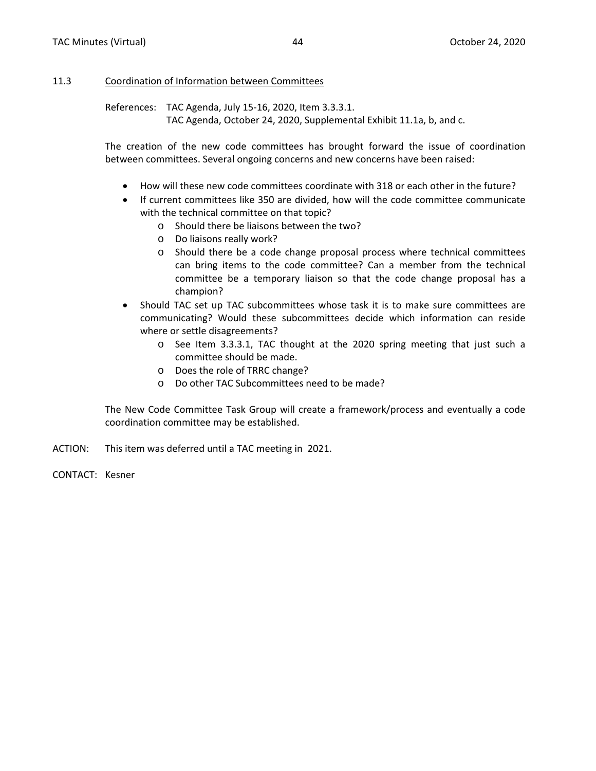#### <span id="page-35-0"></span>11.3 Coordination of Information between Committees

References: TAC Agenda, July 15-16, 2020, Item 3.3.3.1. TAC Agenda, October 24, 2020, Supplemental Exhibit 11.1a, b, and c.

The creation of the new code committees has brought forward the issue of coordination between committees. Several ongoing concerns and new concerns have been raised:

- How will these new code committees coordinate with 318 or each other in the future?
- If current committees like 350 are divided, how will the code committee communicate with the technical committee on that topic?
	- o Should there be liaisons between the two?
	- o Do liaisons really work?
	- o Should there be a code change proposal process where technical committees can bring items to the code committee? Can a member from the technical committee be a temporary liaison so that the code change proposal has a champion?
- Should TAC set up TAC subcommittees whose task it is to make sure committees are communicating? Would these subcommittees decide which information can reside where or settle disagreements?
	- o See Item 3.3.3.1, TAC thought at the 2020 spring meeting that just such a committee should be made.
	- o Does the role of TRRC change?
	- o Do other TAC Subcommittees need to be made?

The New Code Committee Task Group will create a framework/process and eventually a code coordination committee may be established.

- ACTION: This item was deferred until a TAC meeting in 2021.
- CONTACT: Kesner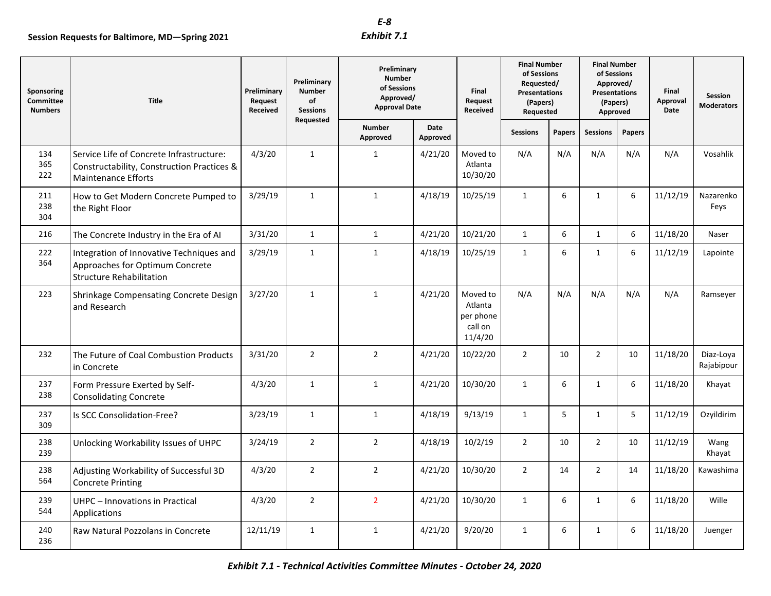|                                                  | Session Requests for Baltimore, MD-Spring 2021                                                                       |                                    |                                                       | $E-8$<br>Exhibit 7.1                                                             |                  |                                                        |                                                                                                   |                  |                                                                                                 |        |                           |                              |
|--------------------------------------------------|----------------------------------------------------------------------------------------------------------------------|------------------------------------|-------------------------------------------------------|----------------------------------------------------------------------------------|------------------|--------------------------------------------------------|---------------------------------------------------------------------------------------------------|------------------|-------------------------------------------------------------------------------------------------|--------|---------------------------|------------------------------|
| Sponsoring<br><b>Committee</b><br><b>Numbers</b> | <b>Title</b>                                                                                                         | Preliminary<br>Request<br>Received | Preliminary<br><b>Number</b><br>of<br><b>Sessions</b> | Preliminary<br><b>Number</b><br>of Sessions<br>Approved/<br><b>Approval Date</b> |                  | Final<br>Request<br>Received                           | <b>Final Number</b><br>of Sessions<br>Requested/<br><b>Presentations</b><br>(Papers)<br>Requested |                  | <b>Final Number</b><br>of Sessions<br>Approved/<br><b>Presentations</b><br>(Papers)<br>Approved |        | Final<br>Approval<br>Date | Session<br><b>Moderators</b> |
|                                                  |                                                                                                                      |                                    | Requested                                             | <b>Number</b><br>Approved                                                        | Date<br>Approved |                                                        | <b>Sessions</b>                                                                                   | Papers           | <b>Sessions</b>                                                                                 | Papers |                           |                              |
| 134<br>365<br>222                                | Service Life of Concrete Infrastructure:<br>Constructability, Construction Practices &<br><b>Maintenance Efforts</b> | 4/3/20                             | $\mathbf{1}$                                          | $\mathbf{1}$                                                                     | 4/21/20          | Moved to<br>Atlanta<br>10/30/20                        | N/A                                                                                               | N/A              | N/A                                                                                             | N/A    | N/A                       | Vosahlik                     |
| 211<br>238<br>304                                | How to Get Modern Concrete Pumped to<br>the Right Floor                                                              | 3/29/19                            | $\mathbf{1}$                                          | $\mathbf{1}$                                                                     | 4/18/19          | 10/25/19                                               | $\mathbf{1}$                                                                                      | 6                | $\mathbf{1}$                                                                                    | 6      | 11/12/19                  | Nazarenko<br>Feys            |
| 216                                              | The Concrete Industry in the Era of AI                                                                               | 3/31/20                            | $\mathbf{1}$                                          | $\mathbf{1}$                                                                     | 4/21/20          | 10/21/20                                               | $\mathbf{1}$                                                                                      | 6                | $\mathbf{1}$                                                                                    | 6      | 11/18/20                  | Naser                        |
| 222<br>364                                       | Integration of Innovative Techniques and<br>Approaches for Optimum Concrete<br><b>Structure Rehabilitation</b>       | 3/29/19                            | $\mathbf{1}$                                          | $\mathbf{1}$                                                                     | 4/18/19          | 10/25/19                                               | $\mathbf{1}$                                                                                      | 6                | $\mathbf{1}$                                                                                    | 6      | 11/12/19                  | Lapointe                     |
| 223                                              | Shrinkage Compensating Concrete Design<br>and Research                                                               | 3/27/20                            | $\mathbf{1}$                                          | $\mathbf{1}$                                                                     | 4/21/20          | Moved to<br>Atlanta<br>per phone<br>call on<br>11/4/20 | N/A                                                                                               | N/A              | N/A                                                                                             | N/A    | N/A                       | Ramseyer                     |
| 232                                              | The Future of Coal Combustion Products<br>in Concrete                                                                | 3/31/20                            | $\overline{2}$                                        | $\overline{2}$                                                                   | 4/21/20          | 10/22/20                                               | $\overline{2}$                                                                                    | 10               | $\overline{2}$                                                                                  | 10     | 11/18/20                  | Diaz-Loya<br>Rajabipour      |
| 237<br>238                                       | Form Pressure Exerted by Self-<br><b>Consolidating Concrete</b>                                                      | 4/3/20                             | $\mathbf{1}$                                          | $\mathbf{1}$                                                                     | 4/21/20          | 10/30/20                                               | $\mathbf{1}$                                                                                      | 6                | $\mathbf{1}$                                                                                    | 6      | 11/18/20                  | Khayat                       |
| 237<br>309                                       | Is SCC Consolidation-Free?                                                                                           | 3/23/19                            | $\mathbf{1}$                                          | $\mathbf{1}$                                                                     | 4/18/19          | 9/13/19                                                | $\mathbf{1}$                                                                                      | 5                | $\mathbf{1}$                                                                                    | 5      | 11/12/19                  | Ozyildirim                   |
| 238<br>239                                       | Unlocking Workability Issues of UHPC                                                                                 | 3/24/19                            | $\overline{2}$                                        | $\overline{2}$                                                                   | 4/18/19          | 10/2/19                                                | $\overline{2}$                                                                                    | 10               | $\overline{2}$                                                                                  | 10     | 11/12/19                  | Wang<br>Khayat               |
| 238<br>564                                       | Adjusting Workability of Successful 3D<br><b>Concrete Printing</b>                                                   | 4/3/20                             | $\overline{2}$                                        | $\overline{2}$                                                                   | 4/21/20          | 10/30/20                                               | $\overline{2}$                                                                                    | 14               | $\overline{2}$                                                                                  | 14     | 11/18/20                  | Kawashima                    |
| 239<br>544                                       | UHPC - Innovations in Practical<br>Applications                                                                      | 4/3/20                             | $\overline{2}$                                        | $\overline{2}$                                                                   | 4/21/20          | 10/30/20                                               | $\mathbf{1}$                                                                                      | $\,6\,$          | $\mathbf{1}$                                                                                    | 6      | 11/18/20                  | Wille                        |
| 240<br>236                                       | Raw Natural Pozzolans in Concrete                                                                                    | 12/11/19                           | $\mathbf{1}$                                          | $\mathbf{1}$                                                                     | 4/21/20          | 9/20/20                                                | $\mathbf{1}$                                                                                      | $\boldsymbol{6}$ | $\mathbf{1}$                                                                                    | 6      | 11/18/20                  | Juenger                      |
|                                                  |                                                                                                                      |                                    |                                                       | Exhibit 7.1 - Technical Activities Committee Minutes - October 24, 2020          |                  |                                                        |                                                                                                   |                  |                                                                                                 |        |                           |                              |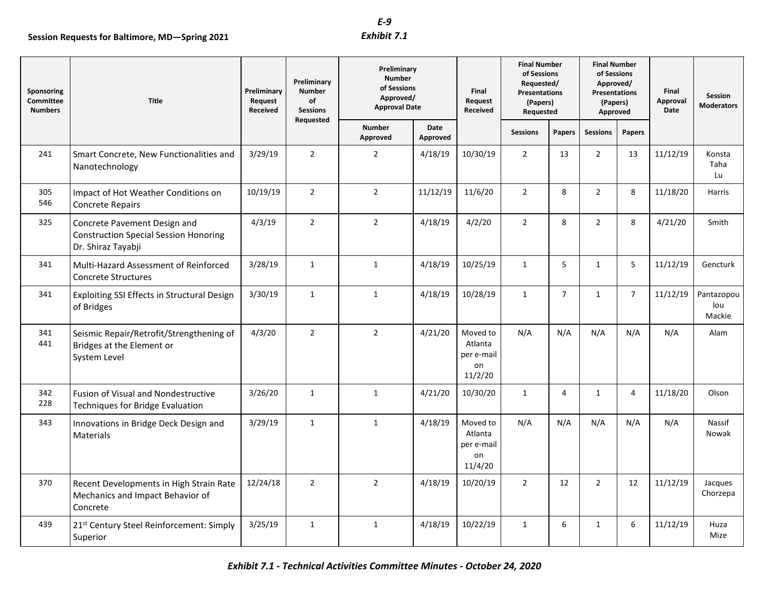| Sponsoring<br><b>Committee</b><br><b>Numbers</b> | <b>Title</b>                                                                                       | Preliminary<br>Request<br>Received | Preliminary<br><b>Number</b><br>of<br><b>Sessions</b><br>Requested | Preliminary<br><b>Number</b><br>of Sessions<br>Approved/<br><b>Approval Date</b> |                  | Final<br>Request<br>Received                       | <b>Final Number</b><br>of Sessions<br>Requested/<br><b>Presentations</b><br>(Papers)<br>Requested |                | <b>Final Number</b><br>of Sessions<br>Approved/<br><b>Presentations</b><br>(Papers)<br>Approved |                | Final<br>Approval<br>Date | Session<br><b>Moderators</b> |
|--------------------------------------------------|----------------------------------------------------------------------------------------------------|------------------------------------|--------------------------------------------------------------------|----------------------------------------------------------------------------------|------------------|----------------------------------------------------|---------------------------------------------------------------------------------------------------|----------------|-------------------------------------------------------------------------------------------------|----------------|---------------------------|------------------------------|
|                                                  |                                                                                                    |                                    |                                                                    | <b>Number</b><br>Approved                                                        | Date<br>Approved |                                                    | <b>Sessions</b>                                                                                   | Papers         | <b>Sessions</b>                                                                                 | Papers         |                           |                              |
| 241                                              | Smart Concrete, New Functionalities and<br>Nanotechnology                                          | 3/29/19                            | $\overline{2}$                                                     | $\overline{2}$                                                                   | 4/18/19          | 10/30/19                                           | $\overline{2}$                                                                                    | 13             | $\overline{2}$                                                                                  | 13             | 11/12/19                  | Konsta<br>Taha<br>Lu         |
| 305<br>546                                       | Impact of Hot Weather Conditions on<br><b>Concrete Repairs</b>                                     | 10/19/19                           | $\overline{2}$                                                     | $\overline{2}$                                                                   | 11/12/19         | 11/6/20                                            | $\overline{2}$                                                                                    | 8              | $\overline{2}$                                                                                  | 8              | 11/18/20                  | Harris                       |
| 325                                              | Concrete Pavement Design and<br><b>Construction Special Session Honoring</b><br>Dr. Shiraz Tayabji | 4/3/19                             | $\overline{2}$                                                     | $\overline{2}$                                                                   | 4/18/19          | 4/2/20                                             | $\overline{2}$                                                                                    | 8              | $\overline{2}$                                                                                  | 8              | 4/21/20                   | Smith                        |
| 341                                              | Multi-Hazard Assessment of Reinforced<br><b>Concrete Structures</b>                                | 3/28/19                            | $\mathbf{1}$                                                       | $\mathbf{1}$                                                                     | 4/18/19          | 10/25/19                                           | $\mathbf{1}$                                                                                      | 5              | $\mathbf{1}$                                                                                    | 5              | 11/12/19                  | Gencturk                     |
| 341                                              | Exploiting SSI Effects in Structural Design<br>of Bridges                                          | 3/30/19                            | $\mathbf{1}$                                                       | $\mathbf{1}$                                                                     | 4/18/19          | 10/28/19                                           | $\mathbf{1}$                                                                                      | $\overline{7}$ | $\mathbf{1}$                                                                                    | $\overline{7}$ | 11/12/19                  | Pantazopou<br>lou<br>Mackie  |
| 341<br>441                                       | Seismic Repair/Retrofit/Strengthening of<br>Bridges at the Element or<br>System Level              | 4/3/20                             | $\overline{2}$                                                     | $\overline{2}$                                                                   | 4/21/20          | Moved to<br>Atlanta<br>per e-mail<br>on<br>11/2/20 | N/A                                                                                               | N/A            | N/A                                                                                             | N/A            | N/A                       | Alam                         |
| 342<br>228                                       | <b>Fusion of Visual and Nondestructive</b><br>Techniques for Bridge Evaluation                     | 3/26/20                            | 1                                                                  | $\mathbf{1}$                                                                     | 4/21/20          | 10/30/20                                           | $\mathbf{1}$                                                                                      | 4              | 1                                                                                               | 4              | 11/18/20                  | Olson                        |
| 343                                              | Innovations in Bridge Deck Design and<br>Materials                                                 | 3/29/19                            | $\mathbf{1}$                                                       | $\mathbf{1}$                                                                     | 4/18/19          | Moved to<br>Atlanta<br>per e-mail<br>on<br>11/4/20 | N/A                                                                                               | N/A            | N/A                                                                                             | N/A            | N/A                       | Nassif<br>Nowak              |
| 370                                              | Recent Developments in High Strain Rate<br>Mechanics and Impact Behavior of<br>Concrete            | 12/24/18                           | $\overline{2}$                                                     | $\overline{2}$                                                                   | 4/18/19          | 10/20/19                                           | $\overline{2}$                                                                                    | 12             | $\overline{2}$                                                                                  | 12             | 11/12/19                  | Jacques<br>Chorzepa          |
| 439                                              | 21 <sup>st</sup> Century Steel Reinforcement: Simply<br>Superior                                   | 3/25/19                            | $\mathbf{1}$                                                       | $\mathbf{1}$                                                                     | 4/18/19          | 10/22/19                                           | $\mathbf{1}$                                                                                      | 6              | $\mathbf{1}$                                                                                    | 6              | 11/12/19                  | Huza<br>Mize                 |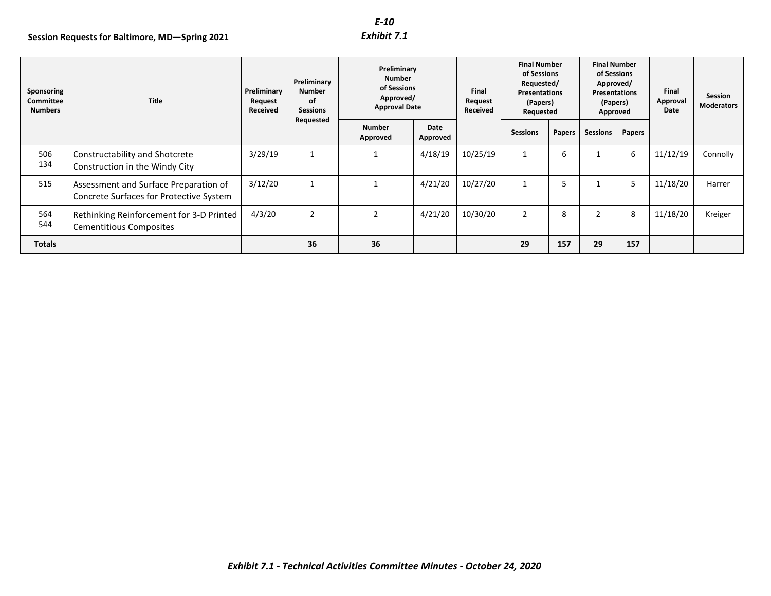|                                           | Session Requests for Baltimore, MD-Spring 2021                                   |                                    |                                                | $E-10$<br>Exhibit 7.1                                                            |                  |                              |                                                                                            |                 |                                                                                          |                  |                           |                              |
|-------------------------------------------|----------------------------------------------------------------------------------|------------------------------------|------------------------------------------------|----------------------------------------------------------------------------------|------------------|------------------------------|--------------------------------------------------------------------------------------------|-----------------|------------------------------------------------------------------------------------------|------------------|---------------------------|------------------------------|
| Sponsoring<br>Committee<br><b>Numbers</b> | <b>Title</b>                                                                     | Preliminary<br>Request<br>Received | Preliminary<br>Number<br>of<br><b>Sessions</b> | Preliminary<br><b>Number</b><br>of Sessions<br>Approved/<br><b>Approval Date</b> |                  | Final<br>Request<br>Received | <b>Final Number</b><br>of Sessions<br>Requested/<br>Presentations<br>(Papers)<br>Requested |                 | <b>Final Number</b><br>of Sessions<br>Approved/<br>Presentations<br>(Papers)<br>Approved |                  | Final<br>Approval<br>Date | Session<br><b>Moderators</b> |
|                                           |                                                                                  |                                    | Requested                                      | <b>Number</b><br>Approved                                                        | Date<br>Approved |                              | <b>Sessions</b>                                                                            | Papers          | <b>Sessions</b>                                                                          | Papers           |                           |                              |
| 506<br>134                                | Constructability and Shotcrete<br>Construction in the Windy City                 | 3/29/19                            | $\mathbf{1}$                                   | $\mathbf{1}$                                                                     | 4/18/19          | 10/25/19                     | $\mathbf{1}$                                                                               | $\,6\,$         | $\mathbf{1}$                                                                             | $\boldsymbol{6}$ | 11/12/19                  | Connolly                     |
| 515                                       | Assessment and Surface Preparation of<br>Concrete Surfaces for Protective System | 3/12/20                            | $\mathbf{1}$                                   | $\mathbf{1}$                                                                     | 4/21/20          | 10/27/20                     | $\mathbf{1}$                                                                               | $5\phantom{.0}$ | $\mathbf{1}$                                                                             | 5                | 11/18/20                  | Harrer                       |
| 564<br>544                                | Rethinking Reinforcement for 3-D Printed<br><b>Cementitious Composites</b>       | 4/3/20                             | $\overline{2}$                                 | $\overline{2}$                                                                   | 4/21/20          | 10/30/20                     | $\overline{2}$                                                                             | 8               | $\overline{2}$                                                                           | 8                | 11/18/20                  | Kreiger                      |
| <b>Totals</b>                             |                                                                                  |                                    | 36                                             | 36                                                                               |                  |                              | 29                                                                                         | 157             | 29                                                                                       | 157              |                           |                              |
|                                           |                                                                                  |                                    |                                                | Exhibit 7.1 - Technical Activities Committee Minutes - October 24, 2020          |                  |                              |                                                                                            |                 |                                                                                          |                  |                           |                              |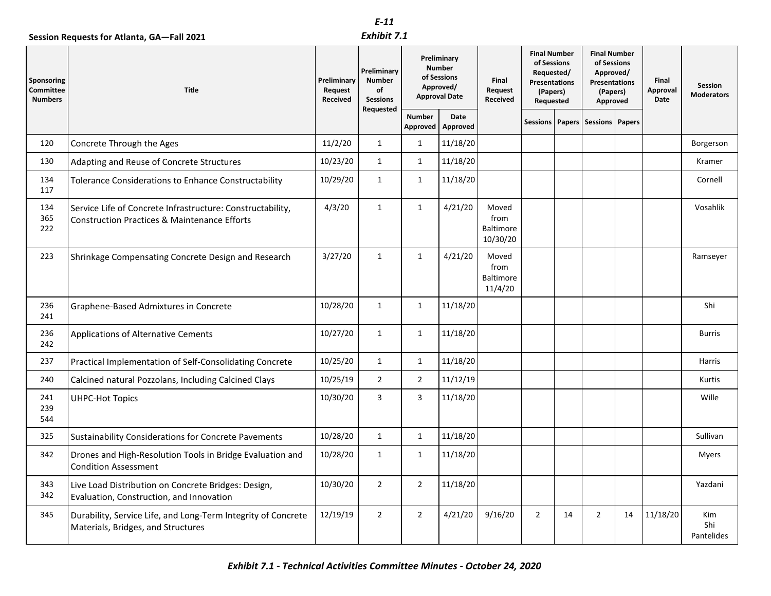|                                           |                                                                                                                       |                                    | $E-11$                                                |                                                                                  |                  |                                               |                                                                                                   |    |                                                                                                 |    |                           |                                     |
|-------------------------------------------|-----------------------------------------------------------------------------------------------------------------------|------------------------------------|-------------------------------------------------------|----------------------------------------------------------------------------------|------------------|-----------------------------------------------|---------------------------------------------------------------------------------------------------|----|-------------------------------------------------------------------------------------------------|----|---------------------------|-------------------------------------|
|                                           | Session Requests for Atlanta, GA-Fall 2021                                                                            |                                    | Exhibit 7.1                                           |                                                                                  |                  |                                               |                                                                                                   |    |                                                                                                 |    |                           |                                     |
| Sponsoring<br>Committee<br><b>Numbers</b> | <b>Title</b>                                                                                                          | Preliminary<br>Request<br>Received | Preliminary<br><b>Number</b><br>of<br><b>Sessions</b> | Preliminary<br><b>Number</b><br>of Sessions<br>Approved/<br><b>Approval Date</b> |                  | Final<br>Request<br>Received                  | <b>Final Number</b><br>of Sessions<br>Requested/<br><b>Presentations</b><br>(Papers)<br>Requested |    | <b>Final Number</b><br>of Sessions<br>Approved/<br><b>Presentations</b><br>(Papers)<br>Approved |    | Final<br>Approval<br>Date | <b>Session</b><br><b>Moderators</b> |
|                                           |                                                                                                                       |                                    | Requested                                             | <b>Number</b><br>Approved                                                        | Date<br>Approved |                                               |                                                                                                   |    | Sessions   Papers   Sessions   Papers                                                           |    |                           |                                     |
| 120                                       | Concrete Through the Ages                                                                                             | 11/2/20                            | $\mathbf{1}$                                          | 1                                                                                | 11/18/20         |                                               |                                                                                                   |    |                                                                                                 |    |                           | Borgerson                           |
| 130                                       | Adapting and Reuse of Concrete Structures                                                                             | 10/23/20                           | $\mathbf{1}$                                          | 1                                                                                | 11/18/20         |                                               |                                                                                                   |    |                                                                                                 |    |                           | Kramer                              |
| 134<br>117                                | Tolerance Considerations to Enhance Constructability                                                                  | 10/29/20                           | $\mathbf{1}$                                          | $\mathbf{1}$                                                                     | 11/18/20         |                                               |                                                                                                   |    |                                                                                                 |    |                           | Cornell                             |
| 134<br>365<br>222                         | Service Life of Concrete Infrastructure: Constructability,<br><b>Construction Practices &amp; Maintenance Efforts</b> | 4/3/20                             | $\mathbf{1}$                                          | $\mathbf{1}$                                                                     | 4/21/20          | Moved<br>from<br><b>Baltimore</b><br>10/30/20 |                                                                                                   |    |                                                                                                 |    |                           | Vosahlik                            |
| 223                                       | Shrinkage Compensating Concrete Design and Research                                                                   | 3/27/20                            | $\mathbf{1}$                                          | $\mathbf{1}$                                                                     | 4/21/20          | Moved<br>from<br>Baltimore<br>11/4/20         |                                                                                                   |    |                                                                                                 |    |                           | Ramseyer                            |
| 236<br>241                                | Graphene-Based Admixtures in Concrete                                                                                 | 10/28/20                           | $\mathbf{1}$                                          | $\mathbf{1}$                                                                     | 11/18/20         |                                               |                                                                                                   |    |                                                                                                 |    |                           | Shi                                 |
| 236<br>242                                | Applications of Alternative Cements                                                                                   | 10/27/20                           | $\mathbf{1}$                                          | $\mathbf{1}$                                                                     | 11/18/20         |                                               |                                                                                                   |    |                                                                                                 |    |                           | <b>Burris</b>                       |
| 237                                       | Practical Implementation of Self-Consolidating Concrete                                                               | 10/25/20                           | $\mathbf{1}$                                          | $\mathbf{1}$                                                                     | 11/18/20         |                                               |                                                                                                   |    |                                                                                                 |    |                           | Harris                              |
| 240                                       | Calcined natural Pozzolans, Including Calcined Clays                                                                  | 10/25/19                           | $\overline{2}$                                        | $\overline{2}$                                                                   | 11/12/19         |                                               |                                                                                                   |    |                                                                                                 |    |                           | Kurtis                              |
| 241<br>239<br>544                         | <b>UHPC-Hot Topics</b>                                                                                                | 10/30/20                           | 3                                                     | 3                                                                                | 11/18/20         |                                               |                                                                                                   |    |                                                                                                 |    |                           | Wille                               |
| 325                                       | Sustainability Considerations for Concrete Pavements                                                                  | 10/28/20                           | $\mathbf{1}$                                          | 1                                                                                | 11/18/20         |                                               |                                                                                                   |    |                                                                                                 |    |                           | Sullivan                            |
| 342                                       | Drones and High-Resolution Tools in Bridge Evaluation and<br><b>Condition Assessment</b>                              | 10/28/20                           | $\mathbf{1}$                                          | 1                                                                                | 11/18/20         |                                               |                                                                                                   |    |                                                                                                 |    |                           | Myers                               |
| 343<br>342                                | Live Load Distribution on Concrete Bridges: Design,<br>Evaluation, Construction, and Innovation                       | 10/30/20                           | $2^{\circ}$                                           | $\overline{2}$                                                                   | 11/18/20         |                                               |                                                                                                   |    |                                                                                                 |    |                           | Yazdani                             |
| 345                                       | Durability, Service Life, and Long-Term Integrity of Concrete<br>Materials, Bridges, and Structures                   | 12/19/19                           | $\overline{2}$                                        | $\overline{2}$                                                                   | 4/21/20          | 9/16/20                                       | $\overline{2}$                                                                                    | 14 | $\overline{2}$                                                                                  | 14 | 11/18/20                  | Kim<br>Shi<br>Pantelides            |
|                                           | Exhibit 7.1 - Technical Activities Committee Minutes - October 24, 2020                                               |                                    |                                                       |                                                                                  |                  |                                               |                                                                                                   |    |                                                                                                 |    |                           |                                     |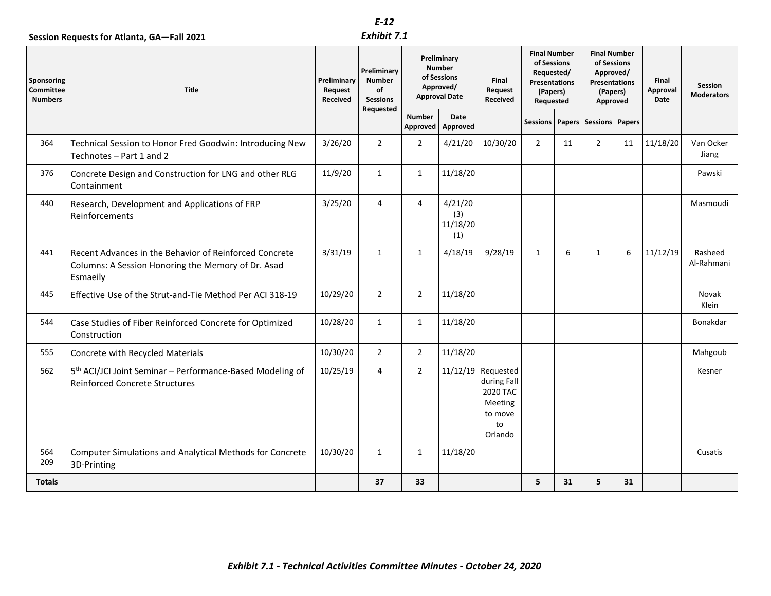|                                           |                                                                                                                          |                                    | $E-12$                                                      |                                                                                  |                                   |                                                                                        |                                                                                            |    |                                                                                                 |    |                           |                                     |
|-------------------------------------------|--------------------------------------------------------------------------------------------------------------------------|------------------------------------|-------------------------------------------------------------|----------------------------------------------------------------------------------|-----------------------------------|----------------------------------------------------------------------------------------|--------------------------------------------------------------------------------------------|----|-------------------------------------------------------------------------------------------------|----|---------------------------|-------------------------------------|
|                                           | Session Requests for Atlanta, GA-Fall 2021                                                                               |                                    | Exhibit 7.1                                                 |                                                                                  |                                   |                                                                                        |                                                                                            |    |                                                                                                 |    |                           |                                     |
| Sponsoring<br>Committee<br><b>Numbers</b> | <b>Title</b>                                                                                                             | Preliminary<br>Request<br>Received | Preliminary<br>Number<br>of<br><b>Sessions</b><br>Requested | Preliminary<br><b>Number</b><br>of Sessions<br>Approved/<br><b>Approval Date</b> |                                   | Final<br>Request<br>Received                                                           | <b>Final Number</b><br>of Sessions<br>Requested/<br>Presentations<br>(Papers)<br>Requested |    | <b>Final Number</b><br>of Sessions<br>Approved/<br><b>Presentations</b><br>(Papers)<br>Approved |    | Final<br>Approval<br>Date | <b>Session</b><br><b>Moderators</b> |
|                                           |                                                                                                                          |                                    |                                                             | <b>Number</b><br>Approved                                                        | Date<br>Approved                  |                                                                                        |                                                                                            |    | Sessions   Papers   Sessions   Papers                                                           |    |                           |                                     |
| 364                                       | Technical Session to Honor Fred Goodwin: Introducing New<br>Technotes - Part 1 and 2                                     | 3/26/20                            | $\overline{2}$                                              | $\overline{2}$                                                                   | 4/21/20                           | 10/30/20                                                                               | $\overline{2}$                                                                             | 11 | $\overline{2}$                                                                                  | 11 | 11/18/20                  | Van Ocker<br>Jiang                  |
| 376                                       | Concrete Design and Construction for LNG and other RLG<br>Containment                                                    | 11/9/20                            | $\mathbf{1}$                                                | $\mathbf{1}$                                                                     | 11/18/20                          |                                                                                        |                                                                                            |    |                                                                                                 |    |                           | Pawski                              |
| 440                                       | Research, Development and Applications of FRP<br>Reinforcements                                                          | 3/25/20                            | $\overline{4}$                                              | 4                                                                                | 4/21/20<br>(3)<br>11/18/20<br>(1) |                                                                                        |                                                                                            |    |                                                                                                 |    |                           | Masmoudi                            |
| 441                                       | Recent Advances in the Behavior of Reinforced Concrete<br>Columns: A Session Honoring the Memory of Dr. Asad<br>Esmaeily | 3/31/19                            | $\mathbf{1}$                                                | $\mathbf{1}$                                                                     | 4/18/19                           | 9/28/19                                                                                | 1                                                                                          | 6  | $\mathbf{1}$                                                                                    | 6  | 11/12/19                  | Rasheed<br>Al-Rahmani               |
| 445                                       | Effective Use of the Strut-and-Tie Method Per ACI 318-19                                                                 | 10/29/20                           | $\overline{2}$                                              | $\overline{2}$                                                                   | 11/18/20                          |                                                                                        |                                                                                            |    |                                                                                                 |    |                           | Novak<br>Klein                      |
| 544                                       | Case Studies of Fiber Reinforced Concrete for Optimized<br>Construction                                                  | 10/28/20                           | $\mathbf{1}$                                                | $\mathbf{1}$                                                                     | 11/18/20                          |                                                                                        |                                                                                            |    |                                                                                                 |    |                           | Bonakdar                            |
| 555                                       | Concrete with Recycled Materials                                                                                         | 10/30/20                           | $\overline{2}$                                              | $\overline{2}$                                                                   | 11/18/20                          |                                                                                        |                                                                                            |    |                                                                                                 |    |                           | Mahgoub                             |
| 562                                       | 5 <sup>th</sup> ACI/JCI Joint Seminar - Performance-Based Modeling of<br>Reinforced Concrete Structures                  | 10/25/19                           | $\overline{4}$                                              | $\overline{2}$                                                                   |                                   | $11/12/19$ Requested<br>during Fall<br>2020 TAC<br>Meeting<br>to move<br>to<br>Orlando |                                                                                            |    |                                                                                                 |    |                           | Kesner                              |
| 564<br>209                                | <b>Computer Simulations and Analytical Methods for Concrete</b><br>3D-Printing                                           | 10/30/20                           | 1                                                           | $\mathbf{1}$                                                                     | 11/18/20                          |                                                                                        |                                                                                            |    |                                                                                                 |    |                           | Cusatis                             |
| <b>Totals</b>                             |                                                                                                                          |                                    | 37                                                          | 33                                                                               |                                   |                                                                                        | 5                                                                                          | 31 | 5                                                                                               | 31 |                           |                                     |
|                                           | Exhibit 7.1 - Technical Activities Committee Minutes - October 24, 2020                                                  |                                    |                                                             |                                                                                  |                                   |                                                                                        |                                                                                            |    |                                                                                                 |    |                           |                                     |